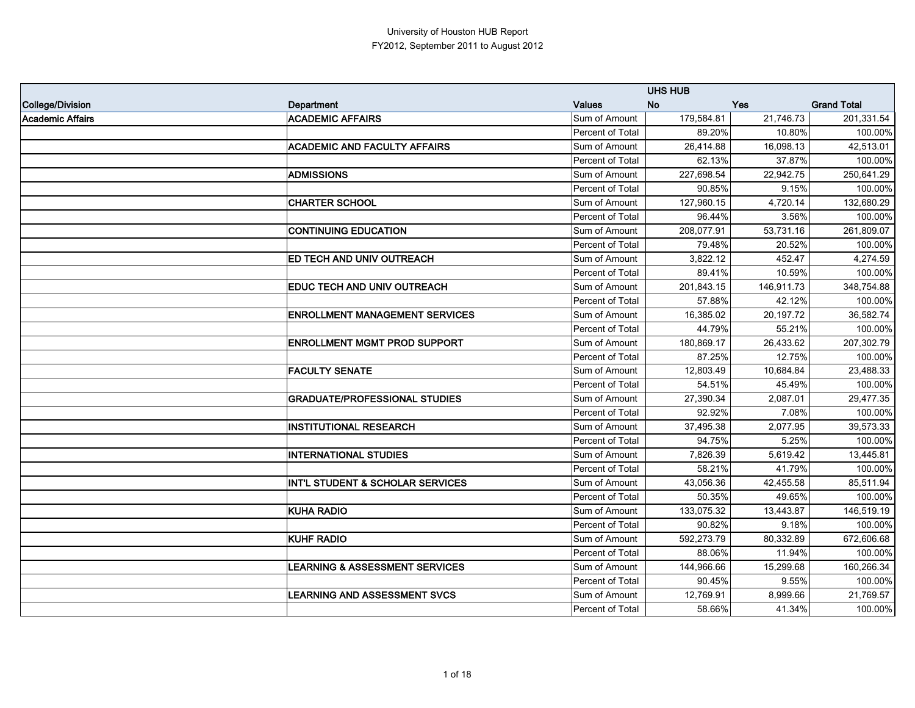|                  |                                             |                  | <b>UHS HUB</b> |            |                    |
|------------------|---------------------------------------------|------------------|----------------|------------|--------------------|
| College/Division | <b>Department</b>                           | <b>Values</b>    | <b>No</b>      | Yes        | <b>Grand Total</b> |
| Academic Affairs | <b>ACADEMIC AFFAIRS</b>                     | Sum of Amount    | 179,584.81     | 21,746.73  | 201,331.54         |
|                  |                                             | Percent of Total | 89.20%         | 10.80%     | 100.00%            |
|                  | <b>ACADEMIC AND FACULTY AFFAIRS</b>         | Sum of Amount    | 26,414.88      | 16,098.13  | 42,513.01          |
|                  |                                             | Percent of Total | 62.13%         | 37.87%     | 100.00%            |
|                  | <b>ADMISSIONS</b>                           | Sum of Amount    | 227,698.54     | 22,942.75  | 250,641.29         |
|                  |                                             | Percent of Total | 90.85%         | 9.15%      | 100.00%            |
|                  | <b>CHARTER SCHOOL</b>                       | Sum of Amount    | 127,960.15     | 4,720.14   | 132,680.29         |
|                  |                                             | Percent of Total | 96.44%         | 3.56%      | 100.00%            |
|                  | <b>CONTINUING EDUCATION</b>                 | Sum of Amount    | 208,077.91     | 53,731.16  | 261,809.07         |
|                  |                                             | Percent of Total | 79.48%         | 20.52%     | 100.00%            |
|                  | ED TECH AND UNIV OUTREACH                   | Sum of Amount    | 3,822.12       | 452.47     | 4,274.59           |
|                  |                                             | Percent of Total | 89.41%         | 10.59%     | 100.00%            |
|                  | EDUC TECH AND UNIV OUTREACH                 | Sum of Amount    | 201,843.15     | 146,911.73 | 348,754.88         |
|                  |                                             | Percent of Total | 57.88%         | 42.12%     | 100.00%            |
|                  | <b>ENROLLMENT MANAGEMENT SERVICES</b>       | Sum of Amount    | 16,385.02      | 20,197.72  | 36,582.74          |
|                  |                                             | Percent of Total | 44.79%         | 55.21%     | 100.00%            |
|                  | <b>ENROLLMENT MGMT PROD SUPPORT</b>         | Sum of Amount    | 180,869.17     | 26,433.62  | 207,302.79         |
|                  |                                             | Percent of Total | 87.25%         | 12.75%     | 100.00%            |
|                  | <b>FACULTY SENATE</b>                       | Sum of Amount    | 12,803.49      | 10,684.84  | 23,488.33          |
|                  |                                             | Percent of Total | 54.51%         | 45.49%     | 100.00%            |
|                  | <b>GRADUATE/PROFESSIONAL STUDIES</b>        | Sum of Amount    | 27,390.34      | 2,087.01   | 29,477.35          |
|                  |                                             | Percent of Total | 92.92%         | 7.08%      | 100.00%            |
|                  | <b>INSTITUTIONAL RESEARCH</b>               | Sum of Amount    | 37,495.38      | 2,077.95   | 39,573.33          |
|                  |                                             | Percent of Total | 94.75%         | 5.25%      | 100.00%            |
|                  | <b>INTERNATIONAL STUDIES</b>                | Sum of Amount    | 7,826.39       | 5,619.42   | 13,445.81          |
|                  |                                             | Percent of Total | 58.21%         | 41.79%     | 100.00%            |
|                  | <b>INT'L STUDENT &amp; SCHOLAR SERVICES</b> | Sum of Amount    | 43,056.36      | 42,455.58  | 85,511.94          |
|                  |                                             | Percent of Total | 50.35%         | 49.65%     | 100.00%            |
|                  | <b>KUHA RADIO</b>                           | Sum of Amount    | 133,075.32     | 13,443.87  | 146,519.19         |
|                  |                                             | Percent of Total | 90.82%         | 9.18%      | 100.00%            |
|                  | <b>KUHF RADIO</b>                           | Sum of Amount    | 592,273.79     | 80,332.89  | 672,606.68         |
|                  |                                             | Percent of Total | 88.06%         | 11.94%     | 100.00%            |
|                  | <b>LEARNING &amp; ASSESSMENT SERVICES</b>   | Sum of Amount    | 144,966.66     | 15,299.68  | 160,266.34         |
|                  |                                             | Percent of Total | 90.45%         | 9.55%      | 100.00%            |
|                  | <b>LEARNING AND ASSESSMENT SVCS</b>         | Sum of Amount    | 12,769.91      | 8,999.66   | 21,769.57          |
|                  |                                             | Percent of Total | 58.66%         | 41.34%     | 100.00%            |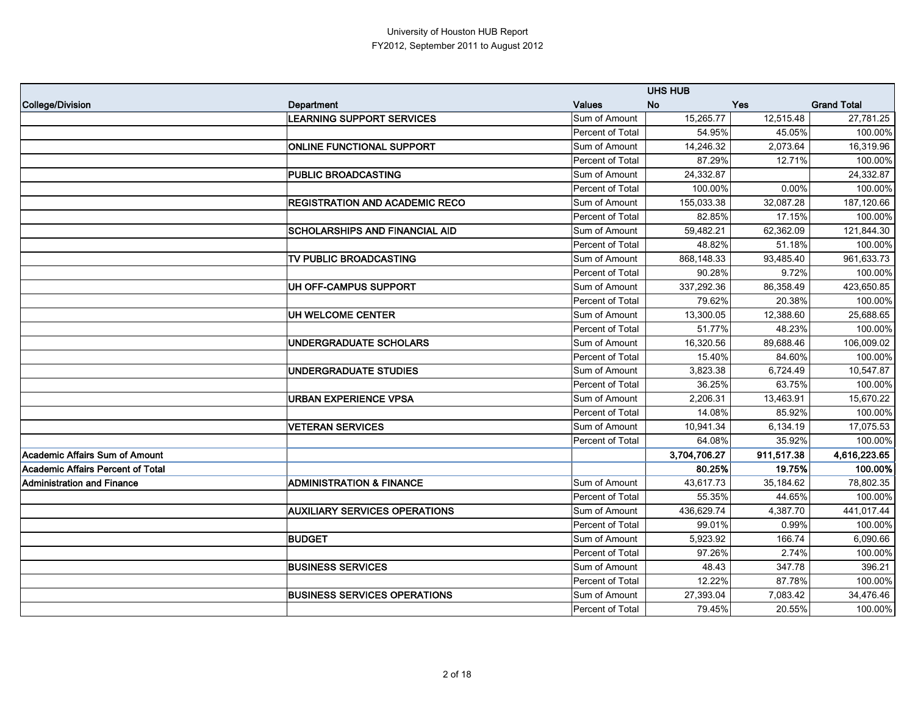|                                   |                                       |                  | <b>UHS HUB</b>   |            |                    |
|-----------------------------------|---------------------------------------|------------------|------------------|------------|--------------------|
| College/Division                  | <b>Department</b>                     | <b>Values</b>    | <b>No</b><br>Yes |            | <b>Grand Total</b> |
|                                   | <b>LEARNING SUPPORT SERVICES</b>      | Sum of Amount    | 15,265.77        | 12,515.48  | 27,781.25          |
|                                   |                                       | Percent of Total | 54.95%           | 45.05%     | 100.00%            |
|                                   | <b>ONLINE FUNCTIONAL SUPPORT</b>      | Sum of Amount    | 14,246.32        | 2,073.64   | 16,319.96          |
|                                   |                                       | Percent of Total | 87.29%           | 12.71%     | 100.00%            |
|                                   | <b>PUBLIC BROADCASTING</b>            | Sum of Amount    | 24,332.87        |            | 24,332.87          |
|                                   |                                       | Percent of Total | 100.00%          | $0.00\%$   | 100.00%            |
|                                   | <b>REGISTRATION AND ACADEMIC RECO</b> | Sum of Amount    | 155,033.38       | 32,087.28  | 187,120.66         |
|                                   |                                       | Percent of Total | 82.85%           | 17.15%     | 100.00%            |
|                                   | <b>SCHOLARSHIPS AND FINANCIAL AID</b> | Sum of Amount    | 59,482.21        | 62,362.09  | 121,844.30         |
|                                   |                                       | Percent of Total | 48.82%           | 51.18%     | 100.00%            |
|                                   | TV PUBLIC BROADCASTING                | Sum of Amount    | 868,148.33       | 93,485.40  | 961,633.73         |
|                                   |                                       | Percent of Total | 90.28%           | 9.72%      | 100.00%            |
|                                   | UH OFF-CAMPUS SUPPORT                 | Sum of Amount    | 337,292.36       | 86,358.49  | 423,650.85         |
|                                   |                                       | Percent of Total | 79.62%           | 20.38%     | 100.00%            |
|                                   | UH WELCOME CENTER                     | Sum of Amount    | 13,300.05        | 12,388.60  | 25,688.65          |
|                                   |                                       | Percent of Total | 51.77%           | 48.23%     | 100.00%            |
|                                   | <b>UNDERGRADUATE SCHOLARS</b>         | Sum of Amount    | 16,320.56        | 89,688.46  | 106,009.02         |
|                                   |                                       | Percent of Total | 15.40%           | 84.60%     | 100.00%            |
|                                   | <b>UNDERGRADUATE STUDIES</b>          | Sum of Amount    | 3,823.38         | 6,724.49   | 10,547.87          |
|                                   |                                       | Percent of Total | 36.25%           | 63.75%     | 100.00%            |
|                                   | <b>URBAN EXPERIENCE VPSA</b>          | Sum of Amount    | 2,206.31         | 13,463.91  | 15,670.22          |
|                                   |                                       | Percent of Total | 14.08%           | 85.92%     | 100.00%            |
|                                   | <b>VETERAN SERVICES</b>               | Sum of Amount    | 10,941.34        | 6,134.19   | 17,075.53          |
|                                   |                                       | Percent of Total | 64.08%           | 35.92%     | 100.00%            |
| Academic Affairs Sum of Amount    |                                       |                  | 3,704,706.27     | 911,517.38 | 4,616,223.65       |
| Academic Affairs Percent of Total |                                       |                  | 80.25%           | 19.75%     | 100.00%            |
| <b>Administration and Finance</b> | <b>ADMINISTRATION &amp; FINANCE</b>   | Sum of Amount    | 43,617.73        | 35,184.62  | 78,802.35          |
|                                   |                                       | Percent of Total | 55.35%           | 44.65%     | 100.00%            |
|                                   | <b>AUXILIARY SERVICES OPERATIONS</b>  | Sum of Amount    | 436,629.74       | 4,387.70   | 441,017.44         |
|                                   |                                       | Percent of Total | 99.01%           | 0.99%      | 100.00%            |
|                                   | <b>BUDGET</b>                         | Sum of Amount    | 5,923.92         | 166.74     | 6,090.66           |
|                                   |                                       | Percent of Total | 97.26%           | 2.74%      | 100.00%            |
|                                   | <b>BUSINESS SERVICES</b>              | Sum of Amount    | 48.43            | 347.78     | 396.21             |
|                                   |                                       | Percent of Total | 12.22%           | 87.78%     | 100.00%            |
|                                   | <b>BUSINESS SERVICES OPERATIONS</b>   | Sum of Amount    | 27,393.04        | 7,083.42   | 34,476.46          |
|                                   |                                       | Percent of Total | 79.45%           | 20.55%     | 100.00%            |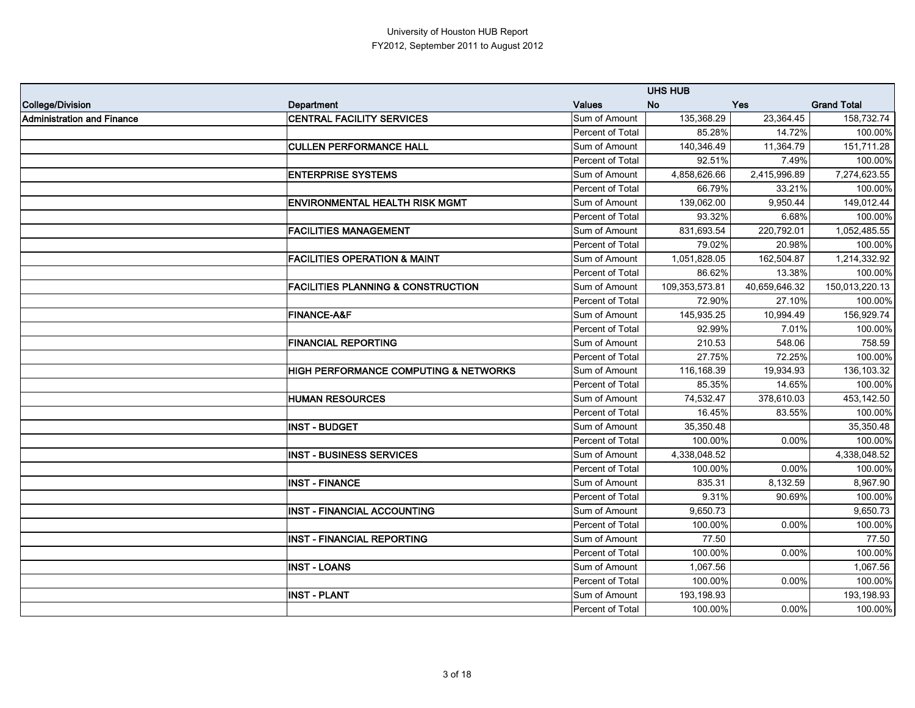|                            |                                                  |                  | <b>UHS HUB</b> |               |                    |
|----------------------------|--------------------------------------------------|------------------|----------------|---------------|--------------------|
| College/Division           | <b>Department</b>                                | <b>Values</b>    | <b>No</b>      | <b>Yes</b>    | <b>Grand Total</b> |
| Administration and Finance | <b>CENTRAL FACILITY SERVICES</b>                 | Sum of Amount    | 135,368.29     | 23,364.45     | 158,732.74         |
|                            |                                                  | Percent of Total | 85.28%         | 14.72%        | 100.00%            |
|                            | <b>CULLEN PERFORMANCE HALL</b>                   | Sum of Amount    | 140,346.49     | 11,364.79     | 151,711.28         |
|                            |                                                  | Percent of Total | 92.51%         | 7.49%         | 100.00%            |
|                            | <b>ENTERPRISE SYSTEMS</b>                        | Sum of Amount    | 4,858,626.66   | 2,415,996.89  | 7,274,623.55       |
|                            |                                                  | Percent of Total | 66.79%         | 33.21%        | 100.00%            |
|                            | <b>ENVIRONMENTAL HEALTH RISK MGMT</b>            | Sum of Amount    | 139,062.00     | 9,950.44      | 149,012.44         |
|                            |                                                  | Percent of Total | 93.32%         | 6.68%         | 100.00%            |
|                            | <b>FACILITIES MANAGEMENT</b>                     | Sum of Amount    | 831,693.54     | 220,792.01    | 1,052,485.55       |
|                            |                                                  | Percent of Total | 79.02%         | 20.98%        | 100.00%            |
|                            | <b>FACILITIES OPERATION &amp; MAINT</b>          | Sum of Amount    | 1,051,828.05   | 162,504.87    | 1,214,332.92       |
|                            |                                                  | Percent of Total | 86.62%         | 13.38%        | 100.00%            |
|                            | <b>FACILITIES PLANNING &amp; CONSTRUCTION</b>    | Sum of Amount    | 109,353,573.81 | 40,659,646.32 | 150,013,220.13     |
|                            |                                                  | Percent of Total | 72.90%         | 27.10%        | 100.00%            |
|                            | <b>FINANCE-A&amp;F</b>                           | Sum of Amount    | 145,935.25     | 10,994.49     | 156,929.74         |
|                            |                                                  | Percent of Total | 92.99%         | 7.01%         | 100.00%            |
|                            | <b>FINANCIAL REPORTING</b>                       | Sum of Amount    | 210.53         | 548.06        | 758.59             |
|                            |                                                  | Percent of Total | 27.75%         | 72.25%        | 100.00%            |
|                            | <b>HIGH PERFORMANCE COMPUTING &amp; NETWORKS</b> | Sum of Amount    | 116,168.39     | 19,934.93     | 136,103.32         |
|                            |                                                  | Percent of Total | 85.35%         | 14.65%        | 100.00%            |
|                            | <b>HUMAN RESOURCES</b>                           | Sum of Amount    | 74,532.47      | 378,610.03    | 453,142.50         |
|                            |                                                  | Percent of Total | 16.45%         | 83.55%        | 100.00%            |
|                            | <b>INST - BUDGET</b>                             | Sum of Amount    | 35,350.48      |               | 35,350.48          |
|                            |                                                  | Percent of Total | 100.00%        | 0.00%         | 100.00%            |
|                            | <b>INST - BUSINESS SERVICES</b>                  | Sum of Amount    | 4,338,048.52   |               | 4,338,048.52       |
|                            |                                                  | Percent of Total | 100.00%        | 0.00%         | 100.00%            |
|                            | <b>INST - FINANCE</b>                            | Sum of Amount    | 835.31         | 8,132.59      | 8,967.90           |
|                            |                                                  | Percent of Total | 9.31%          | 90.69%        | 100.00%            |
|                            | <b>INST - FINANCIAL ACCOUNTING</b>               | Sum of Amount    | 9,650.73       |               | 9,650.73           |
|                            |                                                  | Percent of Total | 100.00%        | 0.00%         | 100.00%            |
|                            | <b>INST - FINANCIAL REPORTING</b>                | Sum of Amount    | 77.50          |               | 77.50              |
|                            |                                                  | Percent of Total | 100.00%        | 0.00%         | 100.00%            |
|                            | <b>INST - LOANS</b>                              | Sum of Amount    | 1,067.56       |               | 1,067.56           |
|                            |                                                  | Percent of Total | 100.00%        | 0.00%         | 100.00%            |
|                            | <b>INST - PLANT</b>                              | Sum of Amount    | 193,198.93     |               | 193,198.93         |
|                            |                                                  | Percent of Total | 100.00%        | 0.00%         | 100.00%            |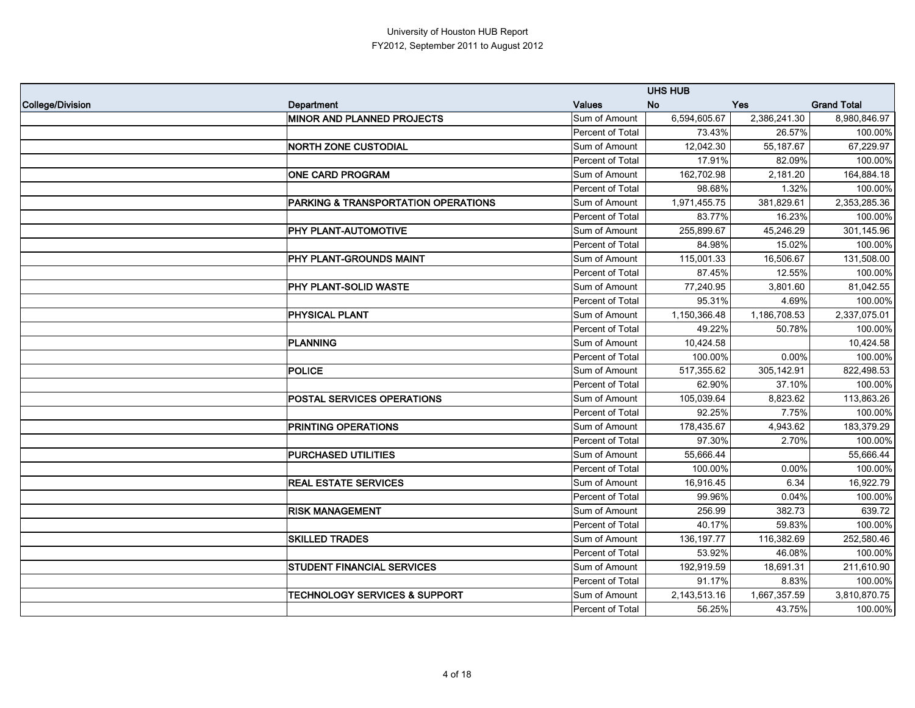|                  |                                          |                  | <b>UHS HUB</b> |              |                    |
|------------------|------------------------------------------|------------------|----------------|--------------|--------------------|
| College/Division | <b>Department</b>                        | <b>Values</b>    | <b>No</b>      | Yes          | <b>Grand Total</b> |
|                  | <b>MINOR AND PLANNED PROJECTS</b>        | Sum of Amount    | 6,594,605.67   | 2,386,241.30 | 8,980,846.97       |
|                  |                                          | Percent of Total | 73.43%         | 26.57%       | 100.00%            |
|                  | <b>NORTH ZONE CUSTODIAL</b>              | Sum of Amount    | 12,042.30      | 55,187.67    | 67,229.97          |
|                  |                                          | Percent of Total | 17.91%         | 82.09%       | 100.00%            |
|                  | <b>ONE CARD PROGRAM</b>                  | Sum of Amount    | 162,702.98     | 2,181.20     | 164,884.18         |
|                  |                                          | Percent of Total | 98.68%         | 1.32%        | 100.00%            |
|                  | PARKING & TRANSPORTATION OPERATIONS      | Sum of Amount    | 1,971,455.75   | 381,829.61   | 2,353,285.36       |
|                  |                                          | Percent of Total | 83.77%         | 16.23%       | 100.00%            |
|                  | PHY PLANT-AUTOMOTIVE                     | Sum of Amount    | 255,899.67     | 45,246.29    | 301,145.96         |
|                  |                                          | Percent of Total | 84.98%         | 15.02%       | 100.00%            |
|                  | PHY PLANT-GROUNDS MAINT                  | Sum of Amount    | 115,001.33     | 16,506.67    | 131,508.00         |
|                  |                                          | Percent of Total | 87.45%         | 12.55%       | 100.00%            |
|                  | PHY PLANT-SOLID WASTE                    | Sum of Amount    | 77,240.95      | 3,801.60     | 81,042.55          |
|                  |                                          | Percent of Total | 95.31%         | 4.69%        | 100.00%            |
|                  | <b>PHYSICAL PLANT</b>                    | Sum of Amount    | 1,150,366.48   | 1,186,708.53 | 2,337,075.01       |
|                  |                                          | Percent of Total | 49.22%         | 50.78%       | 100.00%            |
|                  | <b>PLANNING</b>                          | Sum of Amount    | 10,424.58      |              | 10,424.58          |
|                  |                                          | Percent of Total | 100.00%        | 0.00%        | 100.00%            |
|                  | <b>POLICE</b>                            | Sum of Amount    | 517,355.62     | 305,142.91   | 822,498.53         |
|                  |                                          | Percent of Total | 62.90%         | 37.10%       | 100.00%            |
|                  | <b>POSTAL SERVICES OPERATIONS</b>        | Sum of Amount    | 105,039.64     | 8,823.62     | 113,863.26         |
|                  |                                          | Percent of Total | 92.25%         | 7.75%        | 100.00%            |
|                  | <b>PRINTING OPERATIONS</b>               | Sum of Amount    | 178,435.67     | 4,943.62     | 183,379.29         |
|                  |                                          | Percent of Total | 97.30%         | 2.70%        | 100.00%            |
|                  | <b>PURCHASED UTILITIES</b>               | Sum of Amount    | 55,666.44      |              | 55,666.44          |
|                  |                                          | Percent of Total | 100.00%        | 0.00%        | 100.00%            |
|                  | <b>REAL ESTATE SERVICES</b>              | Sum of Amount    | 16,916.45      | 6.34         | 16,922.79          |
|                  |                                          | Percent of Total | 99.96%         | 0.04%        | 100.00%            |
|                  | <b>RISK MANAGEMENT</b>                   | Sum of Amount    | 256.99         | 382.73       | 639.72             |
|                  |                                          | Percent of Total | 40.17%         | 59.83%       | 100.00%            |
|                  | <b>SKILLED TRADES</b>                    | Sum of Amount    | 136, 197. 77   | 116,382.69   | 252,580.46         |
|                  |                                          | Percent of Total | 53.92%         | 46.08%       | 100.00%            |
|                  | <b>STUDENT FINANCIAL SERVICES</b>        | Sum of Amount    | 192,919.59     | 18,691.31    | 211,610.90         |
|                  |                                          | Percent of Total | 91.17%         | 8.83%        | 100.00%            |
|                  | <b>TECHNOLOGY SERVICES &amp; SUPPORT</b> | Sum of Amount    | 2,143,513.16   | 1,667,357.59 | 3,810,870.75       |
|                  |                                          | Percent of Total | 56.25%         | 43.75%       | 100.00%            |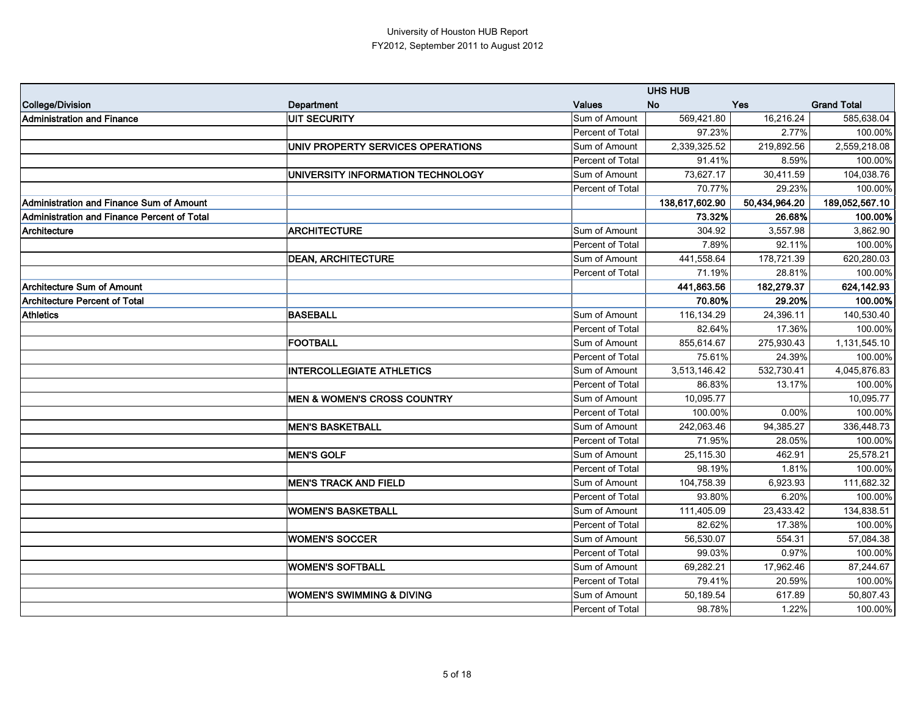|                                             |                                        |                  | <b>UHS HUB</b> |               |                    |
|---------------------------------------------|----------------------------------------|------------------|----------------|---------------|--------------------|
| College/Division                            | <b>Department</b>                      | <b>Values</b>    | <b>No</b>      | Yes           | <b>Grand Total</b> |
| Administration and Finance                  | UIT SECURITY                           | Sum of Amount    | 569,421.80     | 16,216.24     | 585,638.04         |
|                                             |                                        | Percent of Total | 97.23%         | 2.77%         | 100.00%            |
|                                             | UNIV PROPERTY SERVICES OPERATIONS      | Sum of Amount    | 2,339,325.52   | 219,892.56    | 2,559,218.08       |
|                                             |                                        | Percent of Total | 91.41%         | 8.59%         | 100.00%            |
|                                             | UNIVERSITY INFORMATION TECHNOLOGY      | Sum of Amount    | 73,627.17      | 30,411.59     | 104,038.76         |
|                                             |                                        | Percent of Total | 70.77%         | 29.23%        | 100.00%            |
| Administration and Finance Sum of Amount    |                                        |                  | 138,617,602.90 | 50,434,964.20 | 189,052,567.10     |
| Administration and Finance Percent of Total |                                        |                  | 73.32%         | 26.68%        | 100.00%            |
| Architecture                                | <b>ARCHITECTURE</b>                    | Sum of Amount    | 304.92         | 3,557.98      | 3,862.90           |
|                                             |                                        | Percent of Total | 7.89%          | 92.11%        | 100.00%            |
|                                             | <b>DEAN, ARCHITECTURE</b>              | Sum of Amount    | 441,558.64     | 178,721.39    | 620,280.03         |
|                                             |                                        | Percent of Total | 71.19%         | 28.81%        | 100.00%            |
| Architecture Sum of Amount                  |                                        |                  | 441,863.56     | 182,279.37    | 624,142.93         |
| <b>Architecture Percent of Total</b>        |                                        |                  | 70.80%         | 29.20%        | 100.00%            |
| <b>Athletics</b>                            | <b>BASEBALL</b>                        | Sum of Amount    | 116,134.29     | 24,396.11     | 140,530.40         |
|                                             |                                        | Percent of Total | 82.64%         | 17.36%        | 100.00%            |
|                                             | <b>FOOTBALL</b>                        | Sum of Amount    | 855,614.67     | 275,930.43    | 1,131,545.10       |
|                                             |                                        | Percent of Total | 75.61%         | 24.39%        | 100.00%            |
|                                             | <b>INTERCOLLEGIATE ATHLETICS</b>       | Sum of Amount    | 3,513,146.42   | 532,730.41    | 4,045,876.83       |
|                                             |                                        | Percent of Total | 86.83%         | 13.17%        | 100.00%            |
|                                             | <b>MEN &amp; WOMEN'S CROSS COUNTRY</b> | Sum of Amount    | 10,095.77      |               | 10,095.77          |
|                                             |                                        | Percent of Total | 100.00%        | 0.00%         | 100.00%            |
|                                             | <b>MEN'S BASKETBALL</b>                | Sum of Amount    | 242,063.46     | 94,385.27     | 336,448.73         |
|                                             |                                        | Percent of Total | 71.95%         | 28.05%        | 100.00%            |
|                                             | <b>MEN'S GOLF</b>                      | Sum of Amount    | 25,115.30      | 462.91        | 25,578.21          |
|                                             |                                        | Percent of Total | 98.19%         | 1.81%         | 100.00%            |
|                                             | <b>MEN'S TRACK AND FIELD</b>           | Sum of Amount    | 104,758.39     | 6,923.93      | 111,682.32         |
|                                             |                                        | Percent of Total | 93.80%         | 6.20%         | 100.00%            |
|                                             | <b>WOMEN'S BASKETBALL</b>              | Sum of Amount    | 111,405.09     | 23,433.42     | 134,838.51         |
|                                             |                                        | Percent of Total | 82.62%         | 17.38%        | 100.00%            |
|                                             | <b>WOMEN'S SOCCER</b>                  | Sum of Amount    | 56,530.07      | 554.31        | 57,084.38          |
|                                             |                                        | Percent of Total | 99.03%         | 0.97%         | 100.00%            |
|                                             | <b>WOMEN'S SOFTBALL</b>                | Sum of Amount    | 69,282.21      | 17,962.46     | 87,244.67          |
|                                             |                                        | Percent of Total | 79.41%         | 20.59%        | 100.00%            |
|                                             | <b>WOMEN'S SWIMMING &amp; DIVING</b>   | Sum of Amount    | 50,189.54      | 617.89        | 50,807.43          |
|                                             |                                        | Percent of Total | 98.78%         | 1.22%         | 100.00%            |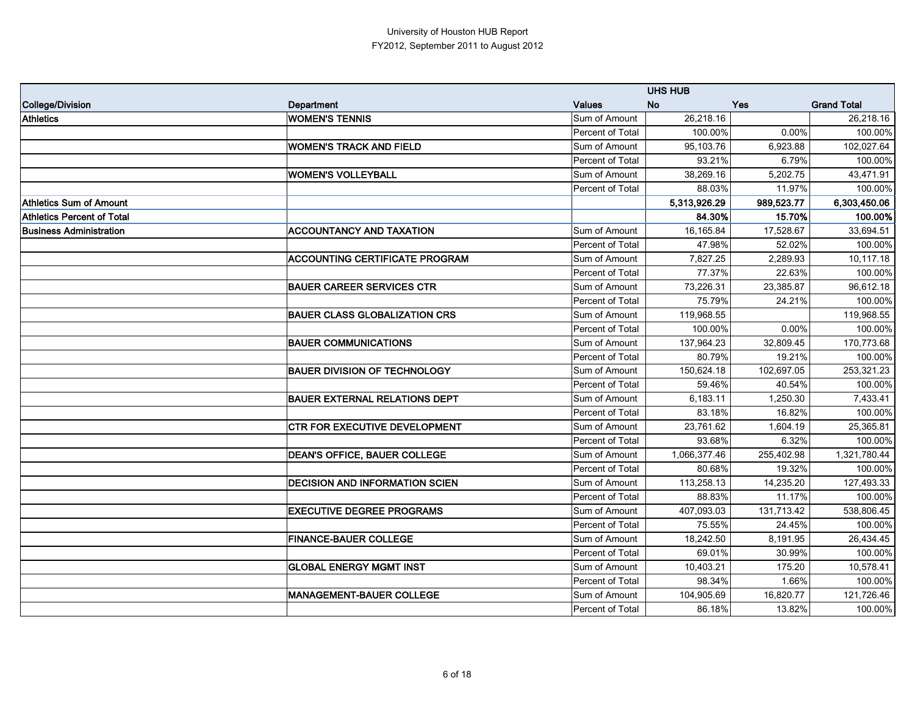|                                   |                                       |                  | <b>UHS HUB</b> |            |                    |
|-----------------------------------|---------------------------------------|------------------|----------------|------------|--------------------|
| College/Division                  | <b>Department</b>                     | <b>Values</b>    | <b>No</b>      | Yes        | <b>Grand Total</b> |
| <b>Athletics</b>                  | <b>WOMEN'S TENNIS</b>                 | Sum of Amount    | 26,218.16      |            | 26,218.16          |
|                                   |                                       | Percent of Total | 100.00%        | 0.00%      | 100.00%            |
|                                   | <b>WOMEN'S TRACK AND FIELD</b>        | Sum of Amount    | 95,103.76      | 6,923.88   | 102,027.64         |
|                                   |                                       | Percent of Total | 93.21%         | 6.79%      | 100.00%            |
|                                   | <b>WOMEN'S VOLLEYBALL</b>             | Sum of Amount    | 38,269.16      | 5,202.75   | 43,471.91          |
|                                   |                                       | Percent of Total | 88.03%         | 11.97%     | 100.00%            |
| <b>Athletics Sum of Amount</b>    |                                       |                  | 5,313,926.29   | 989,523.77 | 6,303,450.06       |
| <b>Athletics Percent of Total</b> |                                       |                  | 84.30%         | 15.70%     | 100.00%            |
| <b>Business Administration</b>    | <b>ACCOUNTANCY AND TAXATION</b>       | Sum of Amount    | 16,165.84      | 17,528.67  | 33,694.51          |
|                                   |                                       | Percent of Total | 47.98%         | 52.02%     | 100.00%            |
|                                   | <b>ACCOUNTING CERTIFICATE PROGRAM</b> | Sum of Amount    | 7,827.25       | 2,289.93   | 10,117.18          |
|                                   |                                       | Percent of Total | 77.37%         | 22.63%     | 100.00%            |
|                                   | <b>BAUER CAREER SERVICES CTR</b>      | Sum of Amount    | 73,226.31      | 23,385.87  | 96,612.18          |
|                                   |                                       | Percent of Total | 75.79%         | 24.21%     | 100.00%            |
|                                   | <b>BAUER CLASS GLOBALIZATION CRS</b>  | Sum of Amount    | 119,968.55     |            | 119,968.55         |
|                                   |                                       | Percent of Total | 100.00%        | 0.00%      | 100.00%            |
|                                   | <b>BAUER COMMUNICATIONS</b>           | Sum of Amount    | 137,964.23     | 32,809.45  | 170,773.68         |
|                                   |                                       | Percent of Total | 80.79%         | 19.21%     | 100.00%            |
|                                   | <b>BAUER DIVISION OF TECHNOLOGY</b>   | Sum of Amount    | 150,624.18     | 102,697.05 | 253,321.23         |
|                                   |                                       | Percent of Total | 59.46%         | 40.54%     | 100.00%            |
|                                   | <b>BAUER EXTERNAL RELATIONS DEPT</b>  | Sum of Amount    | 6,183.11       | 1,250.30   | 7,433.41           |
|                                   |                                       | Percent of Total | 83.18%         | 16.82%     | 100.00%            |
|                                   | <b>CTR FOR EXECUTIVE DEVELOPMENT</b>  | Sum of Amount    | 23,761.62      | 1,604.19   | 25,365.81          |
|                                   |                                       | Percent of Total | 93.68%         | 6.32%      | 100.00%            |
|                                   | <b>DEAN'S OFFICE, BAUER COLLEGE</b>   | Sum of Amount    | 1,066,377.46   | 255,402.98 | 1,321,780.44       |
|                                   |                                       | Percent of Total | 80.68%         | 19.32%     | 100.00%            |
|                                   | <b>DECISION AND INFORMATION SCIEN</b> | Sum of Amount    | 113,258.13     | 14,235.20  | 127,493.33         |
|                                   |                                       | Percent of Total | 88.83%         | 11.17%     | 100.00%            |
|                                   | <b>EXECUTIVE DEGREE PROGRAMS</b>      | Sum of Amount    | 407,093.03     | 131,713.42 | 538,806.45         |
|                                   |                                       | Percent of Total | 75.55%         | 24.45%     | 100.00%            |
|                                   | <b>FINANCE-BAUER COLLEGE</b>          | Sum of Amount    | 18,242.50      | 8,191.95   | 26,434.45          |
|                                   |                                       | Percent of Total | 69.01%         | 30.99%     | 100.00%            |
|                                   | <b>GLOBAL ENERGY MGMT INST</b>        | Sum of Amount    | 10,403.21      | 175.20     | 10,578.41          |
|                                   |                                       | Percent of Total | 98.34%         | 1.66%      | 100.00%            |
|                                   | <b>MANAGEMENT-BAUER COLLEGE</b>       | Sum of Amount    | 104,905.69     | 16,820.77  | 121,726.46         |
|                                   |                                       | Percent of Total | 86.18%         | 13.82%     | 100.00%            |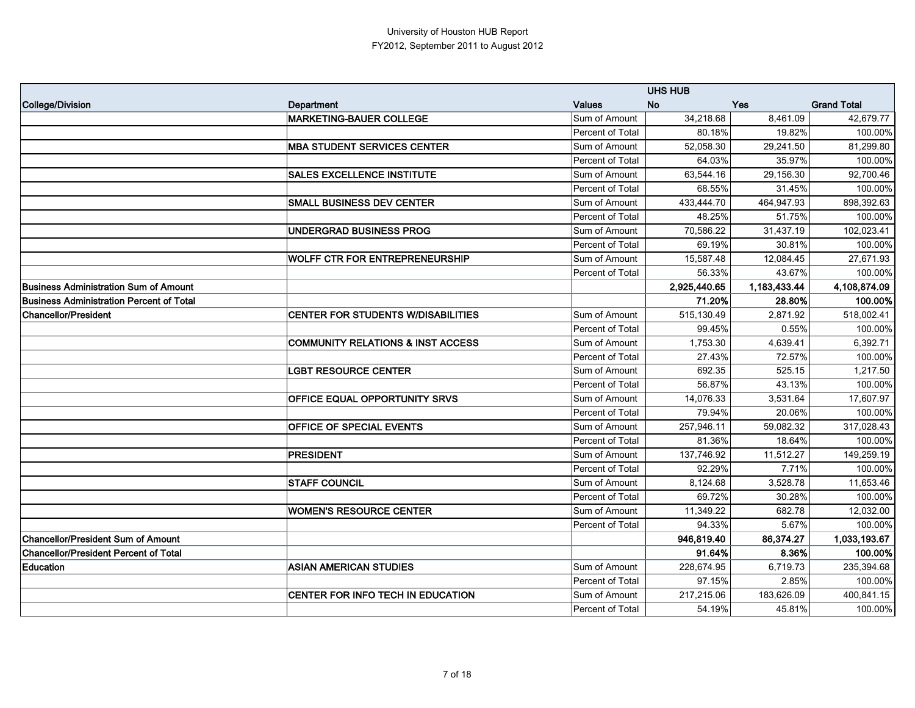|                                                 |                                              |                  | <b>UHS HUB</b> |              |                    |
|-------------------------------------------------|----------------------------------------------|------------------|----------------|--------------|--------------------|
| College/Division                                | <b>Department</b>                            | <b>Values</b>    | <b>No</b>      | <b>Yes</b>   | <b>Grand Total</b> |
|                                                 | <b>MARKETING-BAUER COLLEGE</b>               | Sum of Amount    | 34,218.68      | 8,461.09     | 42,679.77          |
|                                                 |                                              | Percent of Total | 80.18%         | 19.82%       | 100.00%            |
|                                                 | <b>MBA STUDENT SERVICES CENTER</b>           | Sum of Amount    | 52,058.30      | 29,241.50    | 81,299.80          |
|                                                 |                                              | Percent of Total | 64.03%         | 35.97%       | 100.00%            |
|                                                 | <b>SALES EXCELLENCE INSTITUTE</b>            | Sum of Amount    | 63,544.16      | 29,156.30    | 92,700.46          |
|                                                 |                                              | Percent of Total | 68.55%         | 31.45%       | 100.00%            |
|                                                 | <b>SMALL BUSINESS DEV CENTER</b>             | Sum of Amount    | 433,444.70     | 464,947.93   | 898,392.63         |
|                                                 |                                              | Percent of Total | 48.25%         | 51.75%       | 100.00%            |
|                                                 | <b>UNDERGRAD BUSINESS PROG</b>               | Sum of Amount    | 70,586.22      | 31,437.19    | 102,023.41         |
|                                                 |                                              | Percent of Total | 69.19%         | 30.81%       | 100.00%            |
|                                                 | <b>WOLFF CTR FOR ENTREPRENEURSHIP</b>        | Sum of Amount    | 15,587.48      | 12,084.45    | 27,671.93          |
|                                                 |                                              | Percent of Total | 56.33%         | 43.67%       | 100.00%            |
| Business Administration Sum of Amount           |                                              |                  | 2,925,440.65   | 1,183,433.44 | 4,108,874.09       |
| <b>Business Administration Percent of Total</b> |                                              |                  | 71.20%         | 28.80%       | 100.00%            |
| <b>Chancellor/President</b>                     | <b>CENTER FOR STUDENTS W/DISABILITIES</b>    | Sum of Amount    | 515,130.49     | 2,871.92     | 518,002.41         |
|                                                 |                                              | Percent of Total | 99.45%         | 0.55%        | 100.00%            |
|                                                 | <b>COMMUNITY RELATIONS &amp; INST ACCESS</b> | Sum of Amount    | 1,753.30       | 4,639.41     | 6,392.71           |
|                                                 |                                              | Percent of Total | 27.43%         | 72.57%       | 100.00%            |
|                                                 | <b>LGBT RESOURCE CENTER</b>                  | Sum of Amount    | 692.35         | 525.15       | 1,217.50           |
|                                                 |                                              | Percent of Total | 56.87%         | 43.13%       | 100.00%            |
|                                                 | OFFICE EQUAL OPPORTUNITY SRVS                | Sum of Amount    | 14,076.33      | 3,531.64     | 17,607.97          |
|                                                 |                                              | Percent of Total | 79.94%         | 20.06%       | 100.00%            |
|                                                 | OFFICE OF SPECIAL EVENTS                     | Sum of Amount    | 257,946.11     | 59,082.32    | 317,028.43         |
|                                                 |                                              | Percent of Total | 81.36%         | 18.64%       | 100.00%            |
|                                                 | <b>PRESIDENT</b>                             | Sum of Amount    | 137,746.92     | 11,512.27    | 149,259.19         |
|                                                 |                                              | Percent of Total | 92.29%         | 7.71%        | 100.00%            |
|                                                 | <b>STAFF COUNCIL</b>                         | Sum of Amount    | 8,124.68       | 3,528.78     | 11,653.46          |
|                                                 |                                              | Percent of Total | 69.72%         | 30.28%       | 100.00%            |
|                                                 | <b>WOMEN'S RESOURCE CENTER</b>               | Sum of Amount    | 11,349.22      | 682.78       | 12,032.00          |
|                                                 |                                              | Percent of Total | 94.33%         | 5.67%        | 100.00%            |
| <b>Chancellor/President Sum of Amount</b>       |                                              |                  | 946,819.40     | 86,374.27    | 1,033,193.67       |
| <b>Chancellor/President Percent of Total</b>    |                                              |                  | 91.64%         | 8.36%        | 100.00%            |
| <b>Education</b>                                | <b>ASIAN AMERICAN STUDIES</b>                | Sum of Amount    | 228,674.95     | 6,719.73     | 235,394.68         |
|                                                 |                                              | Percent of Total | 97.15%         | 2.85%        | 100.00%            |
|                                                 | CENTER FOR INFO TECH IN EDUCATION            | Sum of Amount    | 217,215.06     | 183,626.09   | 400,841.15         |
|                                                 |                                              | Percent of Total | 54.19%         | 45.81%       | 100.00%            |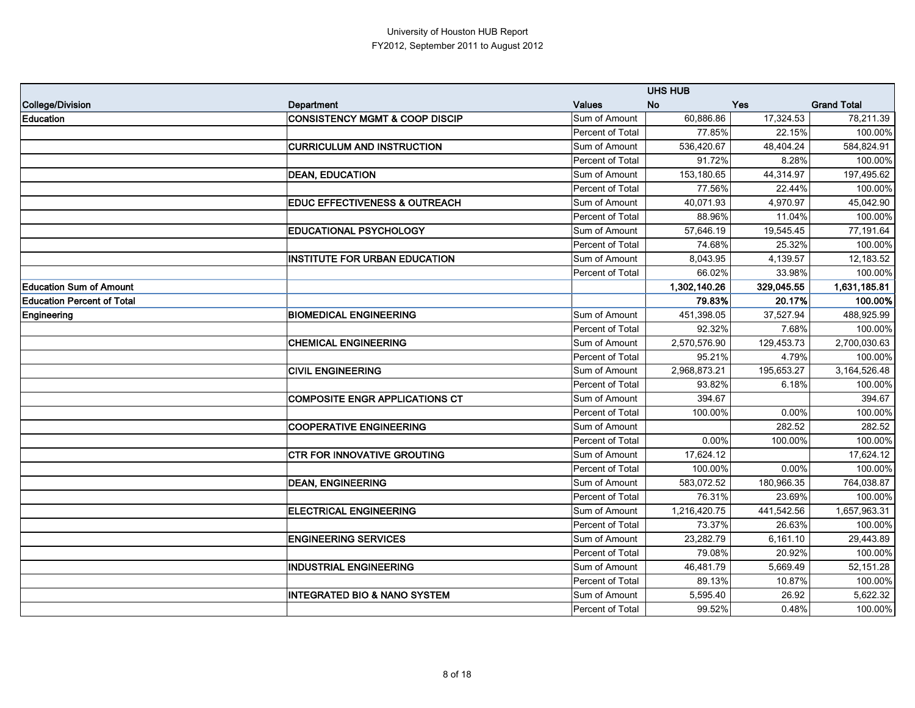|                                   |                                           |                  | <b>UHS HUB</b> |            |                    |
|-----------------------------------|-------------------------------------------|------------------|----------------|------------|--------------------|
| College/Division                  | <b>Department</b>                         | <b>Values</b>    | <b>No</b>      | <b>Yes</b> | <b>Grand Total</b> |
| <b>Education</b>                  | <b>CONSISTENCY MGMT &amp; COOP DISCIP</b> | Sum of Amount    | 60,886.86      | 17,324.53  | 78,211.39          |
|                                   |                                           | Percent of Total | 77.85%         | 22.15%     | 100.00%            |
|                                   | <b>CURRICULUM AND INSTRUCTION</b>         | Sum of Amount    | 536,420.67     | 48,404.24  | 584,824.91         |
|                                   |                                           | Percent of Total | 91.72%         | 8.28%      | 100.00%            |
|                                   | <b>DEAN, EDUCATION</b>                    | Sum of Amount    | 153,180.65     | 44,314.97  | 197,495.62         |
|                                   |                                           | Percent of Total | 77.56%         | 22.44%     | 100.00%            |
|                                   | <b>EDUC EFFECTIVENESS &amp; OUTREACH</b>  | Sum of Amount    | 40,071.93      | 4,970.97   | 45,042.90          |
|                                   |                                           | Percent of Total | 88.96%         | 11.04%     | 100.00%            |
|                                   | EDUCATIONAL PSYCHOLOGY                    | Sum of Amount    | 57,646.19      | 19,545.45  | 77,191.64          |
|                                   |                                           | Percent of Total | 74.68%         | 25.32%     | 100.00%            |
|                                   | <b>INSTITUTE FOR URBAN EDUCATION</b>      | Sum of Amount    | 8,043.95       | 4,139.57   | 12,183.52          |
|                                   |                                           | Percent of Total | 66.02%         | 33.98%     | 100.00%            |
| <b>Education Sum of Amount</b>    |                                           |                  | 1,302,140.26   | 329,045.55 | 1,631,185.81       |
| <b>Education Percent of Total</b> |                                           |                  | 79.83%         | 20.17%     | 100.00%            |
| Engineering                       | <b>BIOMEDICAL ENGINEERING</b>             | Sum of Amount    | 451,398.05     | 37,527.94  | 488,925.99         |
|                                   |                                           | Percent of Total | 92.32%         | 7.68%      | 100.00%            |
|                                   | <b>CHEMICAL ENGINEERING</b>               | Sum of Amount    | 2,570,576.90   | 129,453.73 | 2,700,030.63       |
|                                   |                                           | Percent of Total | 95.21%         | 4.79%      | 100.00%            |
|                                   | <b>CIVIL ENGINEERING</b>                  | Sum of Amount    | 2,968,873.21   | 195,653.27 | 3,164,526.48       |
|                                   |                                           | Percent of Total | 93.82%         | 6.18%      | 100.00%            |
|                                   | <b>COMPOSITE ENGR APPLICATIONS CT</b>     | Sum of Amount    | 394.67         |            | 394.67             |
|                                   |                                           | Percent of Total | 100.00%        | 0.00%      | 100.00%            |
|                                   | <b>COOPERATIVE ENGINEERING</b>            | Sum of Amount    |                | 282.52     | 282.52             |
|                                   |                                           | Percent of Total | 0.00%          | 100.00%    | 100.00%            |
|                                   | <b>CTR FOR INNOVATIVE GROUTING</b>        | Sum of Amount    | 17,624.12      |            | 17,624.12          |
|                                   |                                           | Percent of Total | 100.00%        | 0.00%      | 100.00%            |
|                                   | <b>DEAN, ENGINEERING</b>                  | Sum of Amount    | 583,072.52     | 180,966.35 | 764,038.87         |
|                                   |                                           | Percent of Total | 76.31%         | 23.69%     | 100.00%            |
|                                   | <b>ELECTRICAL ENGINEERING</b>             | Sum of Amount    | 1,216,420.75   | 441,542.56 | 1,657,963.31       |
|                                   |                                           | Percent of Total | 73.37%         | 26.63%     | 100.00%            |
|                                   | <b>ENGINEERING SERVICES</b>               | Sum of Amount    | 23,282.79      | 6,161.10   | 29,443.89          |
|                                   |                                           | Percent of Total | 79.08%         | 20.92%     | 100.00%            |
|                                   | <b>INDUSTRIAL ENGINEERING</b>             | Sum of Amount    | 46,481.79      | 5,669.49   | 52,151.28          |
|                                   |                                           | Percent of Total | 89.13%         | 10.87%     | 100.00%            |
|                                   | <b>INTEGRATED BIO &amp; NANO SYSTEM</b>   | Sum of Amount    | 5,595.40       | 26.92      | 5,622.32           |
|                                   |                                           | Percent of Total | 99.52%         | 0.48%      | 100.00%            |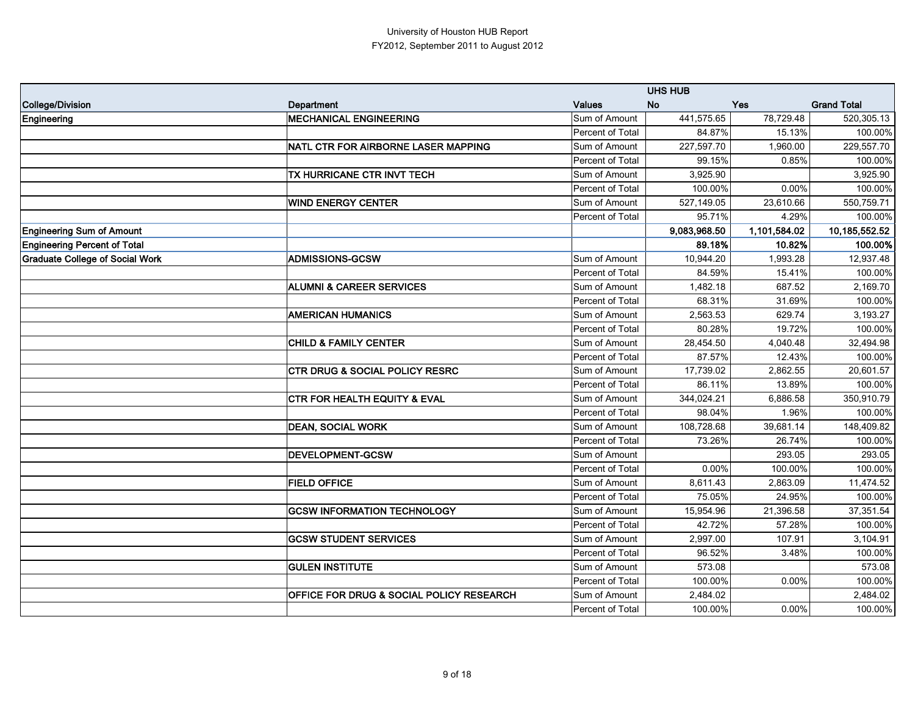|                                        |                                           |                  | <b>UHS HUB</b> |              |                    |
|----------------------------------------|-------------------------------------------|------------------|----------------|--------------|--------------------|
| College/Division                       | <b>Department</b>                         | <b>Values</b>    | <b>No</b>      | <b>Yes</b>   | <b>Grand Total</b> |
| Engineering                            | <b>MECHANICAL ENGINEERING</b>             | Sum of Amount    | 441,575.65     | 78,729.48    | 520,305.13         |
|                                        |                                           | Percent of Total | 84.87%         | 15.13%       | 100.00%            |
|                                        | NATL CTR FOR AIRBORNE LASER MAPPING       | Sum of Amount    | 227,597.70     | 1,960.00     | 229,557.70         |
|                                        |                                           | Percent of Total | 99.15%         | 0.85%        | 100.00%            |
|                                        | TX HURRICANE CTR INVT TECH                | Sum of Amount    | 3,925.90       |              | 3,925.90           |
|                                        |                                           | Percent of Total | 100.00%        | 0.00%        | 100.00%            |
|                                        | <b>WIND ENERGY CENTER</b>                 | Sum of Amount    | 527,149.05     | 23,610.66    | 550,759.71         |
|                                        |                                           | Percent of Total | 95.71%         | 4.29%        | 100.00%            |
| <b>Engineering Sum of Amount</b>       |                                           |                  | 9,083,968.50   | 1,101,584.02 | 10,185,552.52      |
| <b>Engineering Percent of Total</b>    |                                           |                  | 89.18%         | 10.82%       | 100.00%            |
| <b>Graduate College of Social Work</b> | <b>ADMISSIONS-GCSW</b>                    | Sum of Amount    | 10,944.20      | 1,993.28     | 12,937.48          |
|                                        |                                           | Percent of Total | 84.59%         | 15.41%       | 100.00%            |
|                                        | <b>ALUMNI &amp; CAREER SERVICES</b>       | Sum of Amount    | 1,482.18       | 687.52       | 2,169.70           |
|                                        |                                           | Percent of Total | 68.31%         | 31.69%       | 100.00%            |
|                                        | <b>AMERICAN HUMANICS</b>                  | Sum of Amount    | 2,563.53       | 629.74       | 3,193.27           |
|                                        |                                           | Percent of Total | 80.28%         | 19.72%       | 100.00%            |
|                                        | <b>CHILD &amp; FAMILY CENTER</b>          | Sum of Amount    | 28,454.50      | 4,040.48     | 32,494.98          |
|                                        |                                           | Percent of Total | 87.57%         | 12.43%       | 100.00%            |
|                                        | <b>CTR DRUG &amp; SOCIAL POLICY RESRC</b> | Sum of Amount    | 17,739.02      | 2,862.55     | 20,601.57          |
|                                        |                                           | Percent of Total | 86.11%         | 13.89%       | 100.00%            |
|                                        | <b>CTR FOR HEALTH EQUITY &amp; EVAL</b>   | Sum of Amount    | 344,024.21     | 6,886.58     | 350,910.79         |
|                                        |                                           | Percent of Total | 98.04%         | 1.96%        | 100.00%            |
|                                        | <b>DEAN, SOCIAL WORK</b>                  | Sum of Amount    | 108,728.68     | 39,681.14    | 148,409.82         |
|                                        |                                           | Percent of Total | 73.26%         | 26.74%       | 100.00%            |
|                                        | <b>DEVELOPMENT-GCSW</b>                   | Sum of Amount    |                | 293.05       | 293.05             |
|                                        |                                           | Percent of Total | 0.00%          | 100.00%      | 100.00%            |
|                                        | <b>FIELD OFFICE</b>                       | Sum of Amount    | 8,611.43       | 2,863.09     | 11,474.52          |
|                                        |                                           | Percent of Total | 75.05%         | 24.95%       | 100.00%            |
|                                        | <b>GCSW INFORMATION TECHNOLOGY</b>        | Sum of Amount    | 15,954.96      | 21,396.58    | 37,351.54          |
|                                        |                                           | Percent of Total | 42.72%         | 57.28%       | 100.00%            |
|                                        | <b>GCSW STUDENT SERVICES</b>              | Sum of Amount    | 2,997.00       | 107.91       | 3,104.91           |
|                                        |                                           | Percent of Total | 96.52%         | 3.48%        | 100.00%            |
|                                        | <b>GULEN INSTITUTE</b>                    | Sum of Amount    | 573.08         |              | 573.08             |
|                                        |                                           | Percent of Total | 100.00%        | 0.00%        | 100.00%            |
|                                        | OFFICE FOR DRUG & SOCIAL POLICY RESEARCH  | Sum of Amount    | 2,484.02       |              | 2,484.02           |
|                                        |                                           | Percent of Total | 100.00%        | $0.00\%$     | 100.00%            |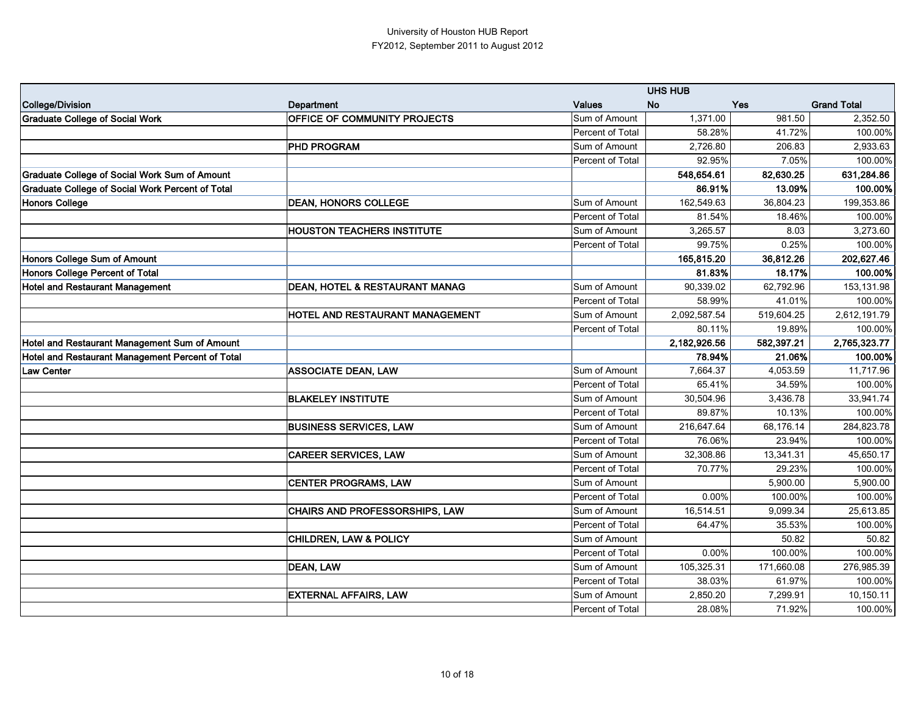|                                                         |                                           |                  | <b>UHS HUB</b> |            |                    |
|---------------------------------------------------------|-------------------------------------------|------------------|----------------|------------|--------------------|
| College/Division                                        | <b>Department</b>                         | <b>Values</b>    | <b>No</b>      | <b>Yes</b> | <b>Grand Total</b> |
| <b>Graduate College of Social Work</b>                  | OFFICE OF COMMUNITY PROJECTS              | Sum of Amount    | 1,371.00       | 981.50     | 2,352.50           |
|                                                         |                                           | Percent of Total | 58.28%         | 41.72%     | 100.00%            |
|                                                         | <b>PHD PROGRAM</b>                        | Sum of Amount    | 2,726.80       | 206.83     | 2,933.63           |
|                                                         |                                           | Percent of Total | 92.95%         | 7.05%      | 100.00%            |
| <b>Graduate College of Social Work Sum of Amount</b>    |                                           |                  | 548,654.61     | 82,630.25  | 631,284.86         |
| <b>Graduate College of Social Work Percent of Total</b> |                                           |                  | 86.91%         | 13.09%     | 100.00%            |
| Honors College                                          | <b>DEAN, HONORS COLLEGE</b>               | Sum of Amount    | 162,549.63     | 36,804.23  | 199,353.86         |
|                                                         |                                           | Percent of Total | 81.54%         | 18.46%     | 100.00%            |
|                                                         | <b>HOUSTON TEACHERS INSTITUTE</b>         | Sum of Amount    | 3,265.57       | 8.03       | 3,273.60           |
|                                                         |                                           | Percent of Total | 99.75%         | 0.25%      | 100.00%            |
| Honors College Sum of Amount                            |                                           |                  | 165,815.20     | 36,812.26  | 202,627.46         |
| Honors College Percent of Total                         |                                           |                  | 81.83%         | 18.17%     | 100.00%            |
| <b>Hotel and Restaurant Management</b>                  | <b>DEAN, HOTEL &amp; RESTAURANT MANAG</b> | Sum of Amount    | 90,339.02      | 62,792.96  | 153,131.98         |
|                                                         |                                           | Percent of Total | 58.99%         | 41.01%     | 100.00%            |
|                                                         | HOTEL AND RESTAURANT MANAGEMENT           | Sum of Amount    | 2,092,587.54   | 519,604.25 | 2,612,191.79       |
|                                                         |                                           | Percent of Total | 80.11%         | 19.89%     | 100.00%            |
| Hotel and Restaurant Management Sum of Amount           |                                           |                  | 2,182,926.56   | 582,397.21 | 2,765,323.77       |
| Hotel and Restaurant Management Percent of Total        |                                           |                  | 78.94%         | 21.06%     | 100.00%            |
| Law Center                                              | <b>ASSOCIATE DEAN, LAW</b>                | Sum of Amount    | 7,664.37       | 4,053.59   | 11,717.96          |
|                                                         |                                           | Percent of Total | 65.41%         | 34.59%     | 100.00%            |
|                                                         | <b>BLAKELEY INSTITUTE</b>                 | Sum of Amount    | 30,504.96      | 3,436.78   | 33,941.74          |
|                                                         |                                           | Percent of Total | 89.87%         | 10.13%     | 100.00%            |
|                                                         | <b>BUSINESS SERVICES, LAW</b>             | Sum of Amount    | 216,647.64     | 68,176.14  | 284,823.78         |
|                                                         |                                           | Percent of Total | 76.06%         | 23.94%     | 100.00%            |
|                                                         | <b>CAREER SERVICES, LAW</b>               | Sum of Amount    | 32,308.86      | 13,341.31  | 45,650.17          |
|                                                         |                                           | Percent of Total | 70.77%         | 29.23%     | 100.00%            |
|                                                         | <b>CENTER PROGRAMS, LAW</b>               | Sum of Amount    |                | 5,900.00   | 5,900.00           |
|                                                         |                                           | Percent of Total | 0.00%          | 100.00%    | 100.00%            |
|                                                         | <b>CHAIRS AND PROFESSORSHIPS, LAW</b>     | Sum of Amount    | 16,514.51      | 9,099.34   | 25,613.85          |
|                                                         |                                           | Percent of Total | 64.47%         | 35.53%     | 100.00%            |
|                                                         | <b>CHILDREN, LAW &amp; POLICY</b>         | Sum of Amount    |                | 50.82      | 50.82              |
|                                                         |                                           | Percent of Total | $0.00\%$       | 100.00%    | 100.00%            |
|                                                         | DEAN, LAW                                 | Sum of Amount    | 105,325.31     | 171,660.08 | 276,985.39         |
|                                                         |                                           | Percent of Total | 38.03%         | 61.97%     | 100.00%            |
|                                                         | <b>EXTERNAL AFFAIRS, LAW</b>              | Sum of Amount    | 2,850.20       | 7,299.91   | 10,150.11          |
|                                                         |                                           | Percent of Total | 28.08%         | 71.92%     | 100.00%            |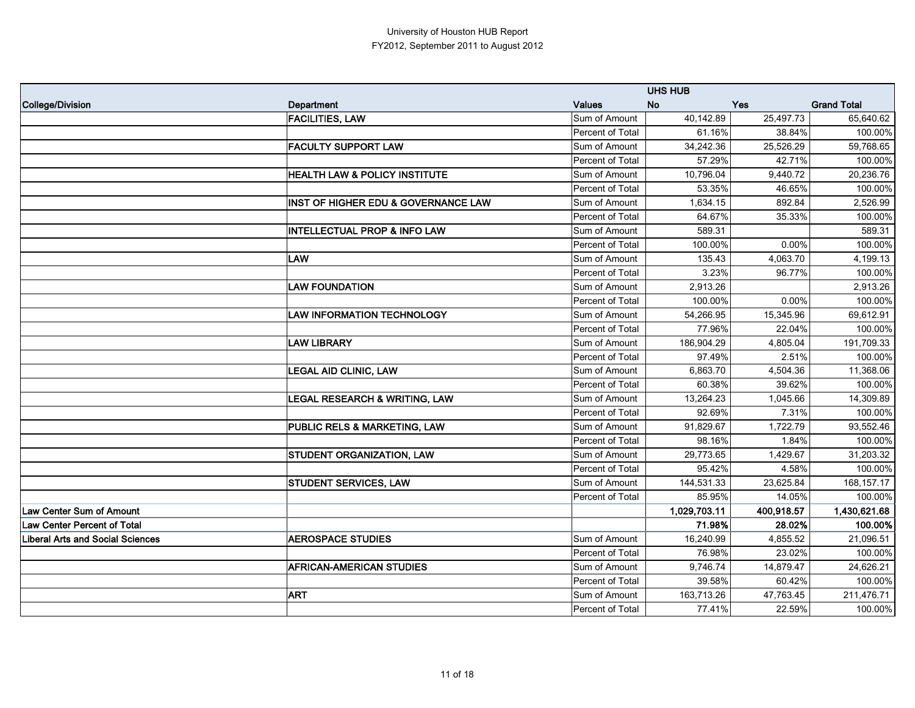|                                         |                                          |                  | <b>UHS HUB</b>   |            |                    |
|-----------------------------------------|------------------------------------------|------------------|------------------|------------|--------------------|
| College/Division                        | Department                               | <b>Values</b>    | <b>No</b><br>Yes |            | <b>Grand Total</b> |
|                                         | <b>FACILITIES, LAW</b>                   | Sum of Amount    | 40,142.89        | 25,497.73  | 65,640.62          |
|                                         |                                          | Percent of Total | 61.16%           | 38.84%     | 100.00%            |
|                                         | <b>FACULTY SUPPORT LAW</b>               | Sum of Amount    | 34,242.36        | 25,526.29  | 59,768.65          |
|                                         |                                          | Percent of Total | 57.29%           | 42.71%     | 100.00%            |
|                                         | <b>HEALTH LAW &amp; POLICY INSTITUTE</b> | Sum of Amount    | 10,796.04        | 9,440.72   | 20,236.76          |
|                                         |                                          | Percent of Total | 53.35%           | 46.65%     | 100.00%            |
|                                         | INST OF HIGHER EDU & GOVERNANCE LAW      | Sum of Amount    | 1,634.15         | 892.84     | 2,526.99           |
|                                         |                                          | Percent of Total | 64.67%           | 35.33%     | 100.00%            |
|                                         | <b>INTELLECTUAL PROP &amp; INFO LAW</b>  | Sum of Amount    | 589.31           |            | 589.31             |
|                                         |                                          | Percent of Total | 100.00%          | 0.00%      | 100.00%            |
|                                         | <b>LAW</b>                               | Sum of Amount    | 135.43           | 4,063.70   | 4,199.13           |
|                                         |                                          | Percent of Total | 3.23%            | 96.77%     | 100.00%            |
|                                         | <b>LAW FOUNDATION</b>                    | Sum of Amount    | 2,913.26         |            | 2,913.26           |
|                                         |                                          | Percent of Total | 100.00%          | 0.00%      | 100.00%            |
|                                         | <b>LAW INFORMATION TECHNOLOGY</b>        | Sum of Amount    | 54,266.95        | 15,345.96  | 69,612.91          |
|                                         |                                          | Percent of Total | 77.96%           | 22.04%     | 100.00%            |
|                                         | <b>LAW LIBRARY</b>                       | Sum of Amount    | 186,904.29       | 4,805.04   | 191,709.33         |
|                                         |                                          | Percent of Total | 97.49%           | 2.51%      | 100.00%            |
|                                         | <b>LEGAL AID CLINIC, LAW</b>             | Sum of Amount    | 6,863.70         | 4,504.36   | 11,368.06          |
|                                         |                                          | Percent of Total | 60.38%           | 39.62%     | 100.00%            |
|                                         | <b>LEGAL RESEARCH &amp; WRITING, LAW</b> | Sum of Amount    | 13,264.23        | 1,045.66   | 14,309.89          |
|                                         |                                          | Percent of Total | 92.69%           | 7.31%      | 100.00%            |
|                                         | PUBLIC RELS & MARKETING, LAW             | Sum of Amount    | 91,829.67        | 1,722.79   | 93,552.46          |
|                                         |                                          | Percent of Total | 98.16%           | 1.84%      | 100.00%            |
|                                         | <b>STUDENT ORGANIZATION, LAW</b>         | Sum of Amount    | 29,773.65        | 1,429.67   | 31,203.32          |
|                                         |                                          | Percent of Total | 95.42%           | 4.58%      | 100.00%            |
|                                         | <b>STUDENT SERVICES, LAW</b>             | Sum of Amount    | 144,531.33       | 23,625.84  | 168, 157. 17       |
|                                         |                                          | Percent of Total | 85.95%           | 14.05%     | 100.00%            |
| Law Center Sum of Amount                |                                          |                  | 1,029,703.11     | 400,918.57 | 1,430,621.68       |
| <b>Law Center Percent of Total</b>      |                                          |                  | 71.98%           | 28.02%     | 100.00%            |
| <b>Liberal Arts and Social Sciences</b> | <b>AEROSPACE STUDIES</b>                 | Sum of Amount    | 16,240.99        | 4,855.52   | 21,096.51          |
|                                         |                                          | Percent of Total | 76.98%           | 23.02%     | 100.00%            |
|                                         | <b>AFRICAN-AMERICAN STUDIES</b>          | Sum of Amount    | 9,746.74         | 14,879.47  | 24,626.21          |
|                                         |                                          | Percent of Total | 39.58%           | 60.42%     | 100.00%            |
|                                         | <b>ART</b>                               | Sum of Amount    | 163,713.26       | 47,763.45  | 211,476.71         |
|                                         |                                          | Percent of Total | 77.41%           | 22.59%     | 100.00%            |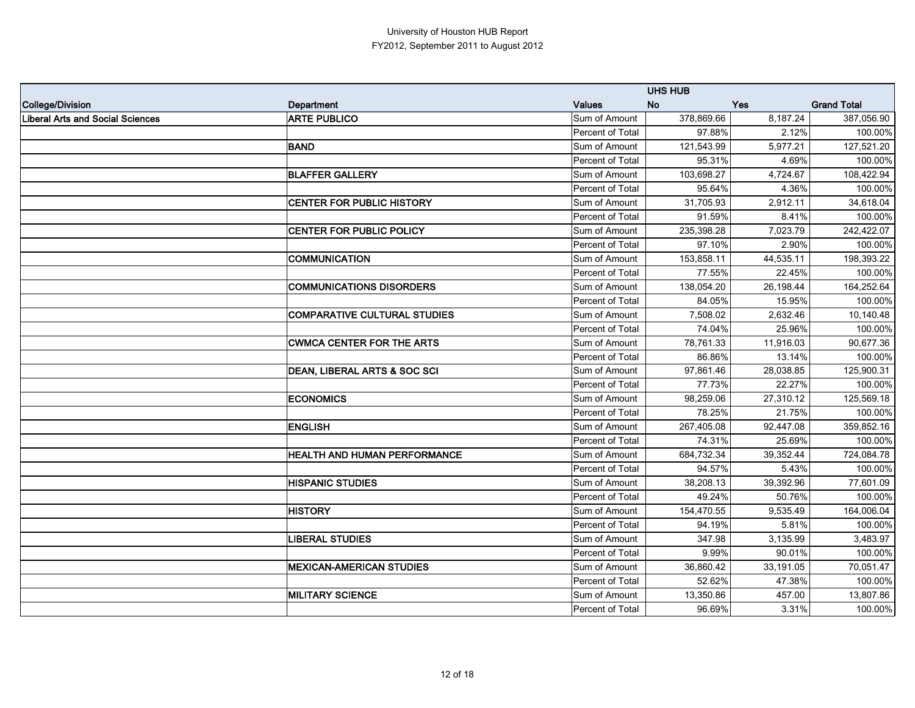|                                  |                                     |                  | <b>UHS HUB</b> |            |                    |
|----------------------------------|-------------------------------------|------------------|----------------|------------|--------------------|
| College/Division                 | <b>Department</b>                   | <b>Values</b>    | <b>No</b>      | <b>Yes</b> | <b>Grand Total</b> |
| Liberal Arts and Social Sciences | <b>ARTE PUBLICO</b>                 | Sum of Amount    | 378,869.66     | 8,187.24   | 387,056.90         |
|                                  |                                     | Percent of Total | 97.88%         | 2.12%      | 100.00%            |
|                                  | <b>BAND</b>                         | Sum of Amount    | 121,543.99     | 5,977.21   | 127,521.20         |
|                                  |                                     | Percent of Total | 95.31%         | 4.69%      | 100.00%            |
|                                  | <b>BLAFFER GALLERY</b>              | Sum of Amount    | 103,698.27     | 4,724.67   | 108,422.94         |
|                                  |                                     | Percent of Total | 95.64%         | 4.36%      | 100.00%            |
|                                  | <b>CENTER FOR PUBLIC HISTORY</b>    | Sum of Amount    | 31,705.93      | 2,912.11   | 34,618.04          |
|                                  |                                     | Percent of Total | 91.59%         | 8.41%      | 100.00%            |
|                                  | <b>CENTER FOR PUBLIC POLICY</b>     | Sum of Amount    | 235,398.28     | 7,023.79   | 242,422.07         |
|                                  |                                     | Percent of Total | 97.10%         | 2.90%      | 100.00%            |
|                                  | <b>COMMUNICATION</b>                | Sum of Amount    | 153,858.11     | 44,535.11  | 198,393.22         |
|                                  |                                     | Percent of Total | 77.55%         | 22.45%     | 100.00%            |
|                                  | <b>COMMUNICATIONS DISORDERS</b>     | Sum of Amount    | 138,054.20     | 26,198.44  | 164,252.64         |
|                                  |                                     | Percent of Total | 84.05%         | 15.95%     | 100.00%            |
|                                  | <b>COMPARATIVE CULTURAL STUDIES</b> | Sum of Amount    | 7,508.02       | 2,632.46   | 10,140.48          |
|                                  |                                     | Percent of Total | 74.04%         | 25.96%     | 100.00%            |
|                                  | <b>CWMCA CENTER FOR THE ARTS</b>    | Sum of Amount    | 78,761.33      | 11,916.03  | 90,677.36          |
|                                  |                                     | Percent of Total | 86.86%         | 13.14%     | 100.00%            |
|                                  | DEAN, LIBERAL ARTS & SOC SCI        | Sum of Amount    | 97,861.46      | 28,038.85  | 125,900.31         |
|                                  |                                     | Percent of Total | 77.73%         | 22.27%     | 100.00%            |
|                                  | <b>ECONOMICS</b>                    | Sum of Amount    | 98,259.06      | 27,310.12  | 125,569.18         |
|                                  |                                     | Percent of Total | 78.25%         | 21.75%     | 100.00%            |
|                                  | <b>ENGLISH</b>                      | Sum of Amount    | 267,405.08     | 92,447.08  | 359,852.16         |
|                                  |                                     | Percent of Total | 74.31%         | 25.69%     | 100.00%            |
|                                  | <b>HEALTH AND HUMAN PERFORMANCE</b> | Sum of Amount    | 684,732.34     | 39,352.44  | 724,084.78         |
|                                  |                                     | Percent of Total | 94.57%         | 5.43%      | 100.00%            |
|                                  | <b>HISPANIC STUDIES</b>             | Sum of Amount    | 38,208.13      | 39,392.96  | 77,601.09          |
|                                  |                                     | Percent of Total | 49.24%         | 50.76%     | 100.00%            |
|                                  | <b>HISTORY</b>                      | Sum of Amount    | 154,470.55     | 9,535.49   | 164,006.04         |
|                                  |                                     | Percent of Total | 94.19%         | 5.81%      | 100.00%            |
|                                  | <b>LIBERAL STUDIES</b>              | Sum of Amount    | 347.98         | 3,135.99   | 3,483.97           |
|                                  |                                     | Percent of Total | 9.99%          | 90.01%     | 100.00%            |
|                                  | <b>MEXICAN-AMERICAN STUDIES</b>     | Sum of Amount    | 36,860.42      | 33,191.05  | 70,051.47          |
|                                  |                                     | Percent of Total | 52.62%         | 47.38%     | 100.00%            |
|                                  | <b>MILITARY SCIENCE</b>             | Sum of Amount    | 13,350.86      | 457.00     | 13,807.86          |
|                                  |                                     | Percent of Total | 96.69%         | 3.31%      | 100.00%            |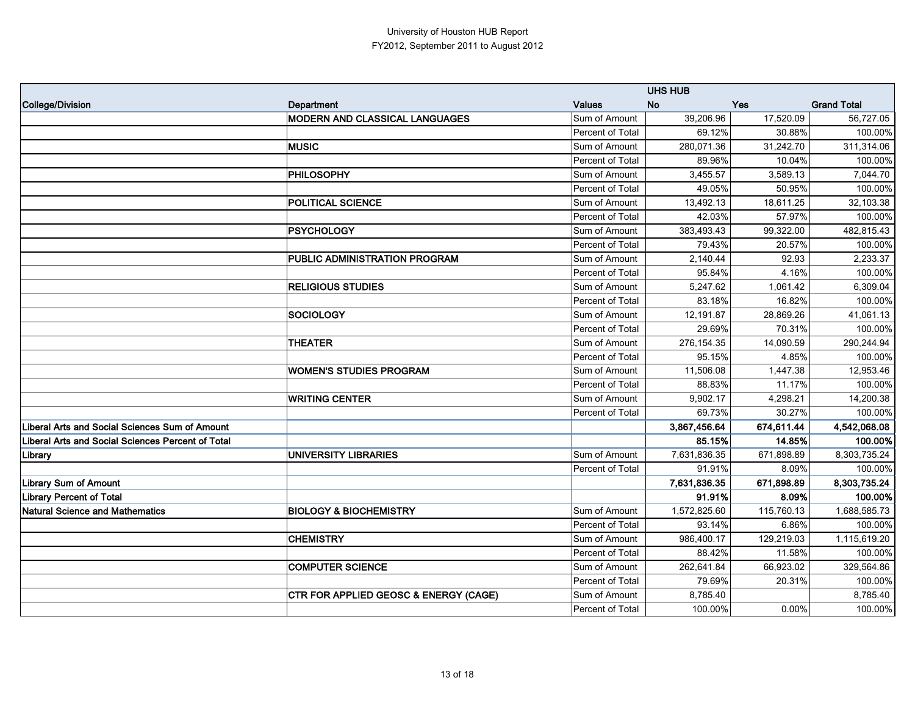|                                                          |                                                  |                  | <b>UHS HUB</b> |            |                    |
|----------------------------------------------------------|--------------------------------------------------|------------------|----------------|------------|--------------------|
| College/Division                                         | Department                                       | <b>Values</b>    | <b>No</b>      | Yes        | <b>Grand Total</b> |
|                                                          | <b>MODERN AND CLASSICAL LANGUAGES</b>            | Sum of Amount    | 39,206.96      | 17,520.09  | 56,727.05          |
|                                                          |                                                  | Percent of Total | 69.12%         | 30.88%     | 100.00%            |
|                                                          | <b>MUSIC</b>                                     | Sum of Amount    | 280,071.36     | 31,242.70  | 311,314.06         |
|                                                          |                                                  | Percent of Total | 89.96%         | 10.04%     | 100.00%            |
|                                                          | <b>PHILOSOPHY</b>                                | Sum of Amount    | 3,455.57       | 3,589.13   | 7,044.70           |
|                                                          |                                                  | Percent of Total | 49.05%         | 50.95%     | 100.00%            |
|                                                          | <b>POLITICAL SCIENCE</b>                         | Sum of Amount    | 13,492.13      | 18,611.25  | 32,103.38          |
|                                                          |                                                  | Percent of Total | 42.03%         | 57.97%     | 100.00%            |
|                                                          | <b>PSYCHOLOGY</b>                                | Sum of Amount    | 383,493.43     | 99,322.00  | 482,815.43         |
|                                                          |                                                  | Percent of Total | 79.43%         | 20.57%     | 100.00%            |
|                                                          | PUBLIC ADMINISTRATION PROGRAM                    | Sum of Amount    | 2,140.44       | 92.93      | 2,233.37           |
|                                                          |                                                  | Percent of Total | 95.84%         | 4.16%      | 100.00%            |
|                                                          | <b>RELIGIOUS STUDIES</b>                         | Sum of Amount    | 5,247.62       | 1,061.42   | 6,309.04           |
|                                                          |                                                  | Percent of Total | 83.18%         | 16.82%     | 100.00%            |
|                                                          | <b>SOCIOLOGY</b>                                 | Sum of Amount    | 12,191.87      | 28,869.26  | 41,061.13          |
|                                                          |                                                  | Percent of Total | 29.69%         | 70.31%     | 100.00%            |
|                                                          | <b>THEATER</b>                                   | Sum of Amount    | 276,154.35     | 14,090.59  | 290,244.94         |
|                                                          |                                                  | Percent of Total | 95.15%         | 4.85%      | 100.00%            |
|                                                          | <b>WOMEN'S STUDIES PROGRAM</b>                   | Sum of Amount    | 11,506.08      | 1,447.38   | 12,953.46          |
|                                                          |                                                  | Percent of Total | 88.83%         | 11.17%     | 100.00%            |
|                                                          | <b>WRITING CENTER</b>                            | Sum of Amount    | 9,902.17       | 4,298.21   | 14,200.38          |
|                                                          |                                                  | Percent of Total | 69.73%         | 30.27%     | 100.00%            |
| <b>Liberal Arts and Social Sciences Sum of Amount</b>    |                                                  |                  | 3,867,456.64   | 674,611.44 | 4,542,068.08       |
| <b>Liberal Arts and Social Sciences Percent of Total</b> |                                                  |                  | 85.15%         | 14.85%     | 100.00%            |
| Library                                                  | <b>UNIVERSITY LIBRARIES</b>                      | Sum of Amount    | 7,631,836.35   | 671,898.89 | 8,303,735.24       |
|                                                          |                                                  | Percent of Total | 91.91%         | 8.09%      | 100.00%            |
| <b>Library Sum of Amount</b>                             |                                                  |                  | 7,631,836.35   | 671,898.89 | 8,303,735.24       |
| <b>Library Percent of Total</b>                          |                                                  |                  | 91.91%         | 8.09%      | 100.00%            |
| <b>Natural Science and Mathematics</b>                   | <b>BIOLOGY &amp; BIOCHEMISTRY</b>                | Sum of Amount    | 1,572,825.60   | 115,760.13 | 1,688,585.73       |
|                                                          |                                                  | Percent of Total | 93.14%         | 6.86%      | 100.00%            |
|                                                          | <b>CHEMISTRY</b>                                 | Sum of Amount    | 986,400.17     | 129,219.03 | 1,115,619.20       |
|                                                          |                                                  | Percent of Total | 88.42%         | 11.58%     | 100.00%            |
|                                                          | <b>COMPUTER SCIENCE</b>                          | Sum of Amount    | 262,641.84     | 66,923.02  | 329,564.86         |
|                                                          |                                                  | Percent of Total | 79.69%         | 20.31%     | 100.00%            |
|                                                          | <b>CTR FOR APPLIED GEOSC &amp; ENERGY (CAGE)</b> | Sum of Amount    | 8,785.40       |            | 8,785.40           |
|                                                          |                                                  | Percent of Total | 100.00%        | $0.00\%$   | 100.00%            |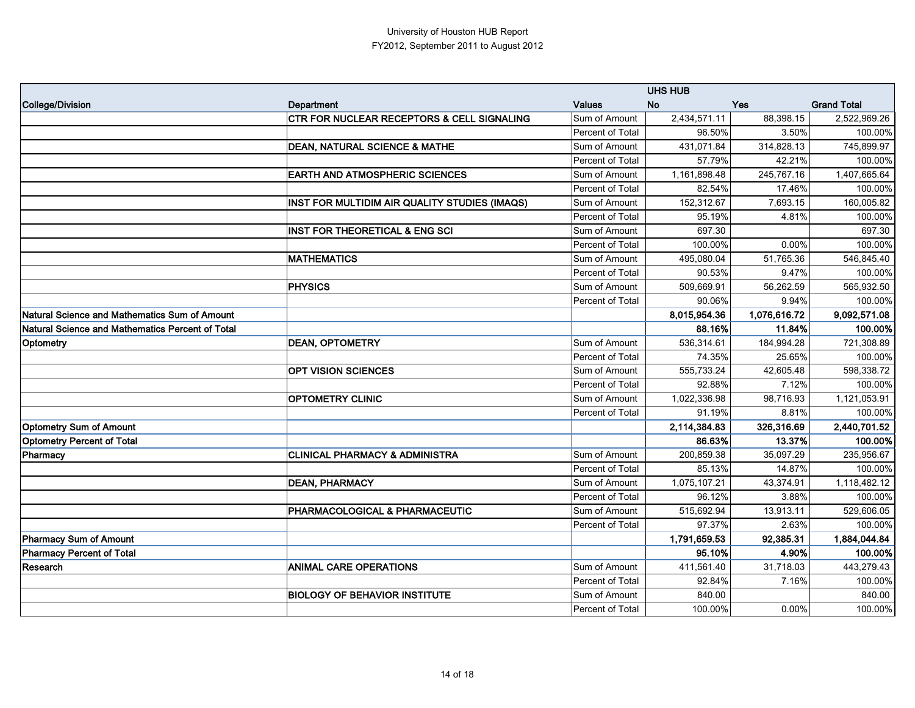|                                                  |                                                       |                  | <b>UHS HUB</b> |              |                    |
|--------------------------------------------------|-------------------------------------------------------|------------------|----------------|--------------|--------------------|
| College/Division                                 | <b>Department</b>                                     | <b>Values</b>    | <b>No</b>      | <b>Yes</b>   | <b>Grand Total</b> |
|                                                  | <b>CTR FOR NUCLEAR RECEPTORS &amp; CELL SIGNALING</b> | Sum of Amount    | 2,434,571.11   | 88,398.15    | 2,522,969.26       |
|                                                  |                                                       | Percent of Total | 96.50%         | 3.50%        | 100.00%            |
|                                                  | <b>DEAN, NATURAL SCIENCE &amp; MATHE</b>              | Sum of Amount    | 431,071.84     | 314,828.13   | 745,899.97         |
|                                                  |                                                       | Percent of Total | 57.79%         | 42.21%       | 100.00%            |
|                                                  | <b>EARTH AND ATMOSPHERIC SCIENCES</b>                 | Sum of Amount    | 1,161,898.48   | 245,767.16   | 1,407,665.64       |
|                                                  |                                                       | Percent of Total | 82.54%         | 17.46%       | 100.00%            |
|                                                  | INST FOR MULTIDIM AIR QUALITY STUDIES (IMAQS)         | Sum of Amount    | 152,312.67     | 7,693.15     | 160,005.82         |
|                                                  |                                                       | Percent of Total | 95.19%         | 4.81%        | 100.00%            |
|                                                  | <b>INST FOR THEORETICAL &amp; ENG SCI</b>             | Sum of Amount    | 697.30         |              | 697.30             |
|                                                  |                                                       | Percent of Total | 100.00%        | 0.00%        | 100.00%            |
|                                                  | <b>MATHEMATICS</b>                                    | Sum of Amount    | 495,080.04     | 51,765.36    | 546,845.40         |
|                                                  |                                                       | Percent of Total | 90.53%         | 9.47%        | 100.00%            |
|                                                  | <b>PHYSICS</b>                                        | Sum of Amount    | 509,669.91     | 56,262.59    | 565,932.50         |
|                                                  |                                                       | Percent of Total | 90.06%         | 9.94%        | 100.00%            |
| Natural Science and Mathematics Sum of Amount    |                                                       |                  | 8,015,954.36   | 1,076,616.72 | 9,092,571.08       |
| Natural Science and Mathematics Percent of Total |                                                       |                  | 88.16%         | 11.84%       | 100.00%            |
| Optometry                                        | <b>DEAN, OPTOMETRY</b>                                | Sum of Amount    | 536,314.61     | 184,994.28   | 721,308.89         |
|                                                  |                                                       | Percent of Total | 74.35%         | 25.65%       | 100.00%            |
|                                                  | <b>OPT VISION SCIENCES</b>                            | Sum of Amount    | 555,733.24     | 42,605.48    | 598,338.72         |
|                                                  |                                                       | Percent of Total | 92.88%         | 7.12%        | 100.00%            |
|                                                  | <b>OPTOMETRY CLINIC</b>                               | Sum of Amount    | 1,022,336.98   | 98,716.93    | 1,121,053.91       |
|                                                  |                                                       | Percent of Total | 91.19%         | 8.81%        | 100.00%            |
| <b>Optometry Sum of Amount</b>                   |                                                       |                  | 2,114,384.83   | 326,316.69   | 2,440,701.52       |
| <b>Optometry Percent of Total</b>                |                                                       |                  | 86.63%         | 13.37%       | 100.00%            |
| Pharmacy                                         | <b>CLINICAL PHARMACY &amp; ADMINISTRA</b>             | Sum of Amount    | 200,859.38     | 35,097.29    | 235,956.67         |
|                                                  |                                                       | Percent of Total | 85.13%         | 14.87%       | 100.00%            |
|                                                  | <b>DEAN, PHARMACY</b>                                 | Sum of Amount    | 1,075,107.21   | 43,374.91    | 1,118,482.12       |
|                                                  |                                                       | Percent of Total | 96.12%         | 3.88%        | 100.00%            |
|                                                  | PHARMACOLOGICAL & PHARMACEUTIC                        | Sum of Amount    | 515,692.94     | 13,913.11    | 529,606.05         |
|                                                  |                                                       | Percent of Total | 97.37%         | 2.63%        | 100.00%            |
| Pharmacy Sum of Amount                           |                                                       |                  | 1,791,659.53   | 92,385.31    | 1,884,044.84       |
| <b>Pharmacy Percent of Total</b>                 |                                                       |                  | 95.10%         | 4.90%        | 100.00%            |
| Research                                         | <b>ANIMAL CARE OPERATIONS</b>                         | Sum of Amount    | 411,561.40     | 31,718.03    | 443,279.43         |
|                                                  |                                                       | Percent of Total | 92.84%         | 7.16%        | 100.00%            |
|                                                  | <b>BIOLOGY OF BEHAVIOR INSTITUTE</b>                  | Sum of Amount    | 840.00         |              | 840.00             |
|                                                  |                                                       | Percent of Total | 100.00%        | $0.00\%$     | 100.00%            |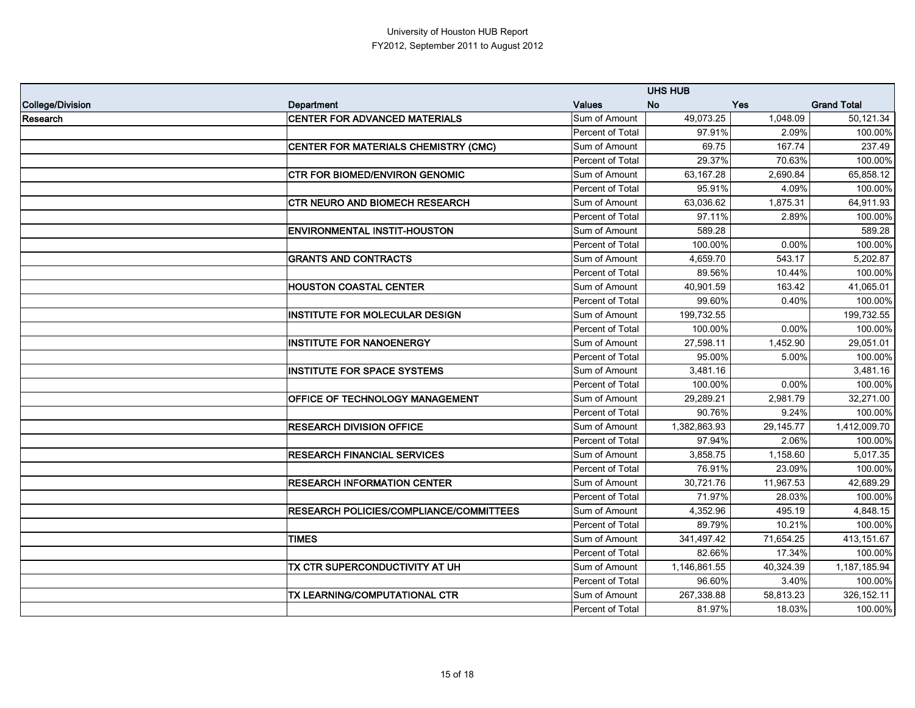|                  |                                                | <b>UHS HUB</b>   |              |           |                    |
|------------------|------------------------------------------------|------------------|--------------|-----------|--------------------|
| College/Division | <b>Department</b>                              | <b>Values</b>    | <b>No</b>    | Yes       | <b>Grand Total</b> |
| Research         | <b>CENTER FOR ADVANCED MATERIALS</b>           | Sum of Amount    | 49,073.25    | 1,048.09  | 50,121.34          |
|                  |                                                | Percent of Total | 97.91%       | 2.09%     | 100.00%            |
|                  | CENTER FOR MATERIALS CHEMISTRY (CMC)           | Sum of Amount    | 69.75        | 167.74    | 237.49             |
|                  |                                                | Percent of Total | 29.37%       | 70.63%    | 100.00%            |
|                  | <b>CTR FOR BIOMED/ENVIRON GENOMIC</b>          | Sum of Amount    | 63,167.28    | 2,690.84  | 65,858.12          |
|                  |                                                | Percent of Total | 95.91%       | 4.09%     | 100.00%            |
|                  | <b>CTR NEURO AND BIOMECH RESEARCH</b>          | Sum of Amount    | 63,036.62    | 1,875.31  | 64,911.93          |
|                  |                                                | Percent of Total | 97.11%       | 2.89%     | 100.00%            |
|                  | <b>ENVIRONMENTAL INSTIT-HOUSTON</b>            | Sum of Amount    | 589.28       |           | 589.28             |
|                  |                                                | Percent of Total | 100.00%      | 0.00%     | 100.00%            |
|                  | <b>GRANTS AND CONTRACTS</b>                    | Sum of Amount    | 4,659.70     | 543.17    | 5,202.87           |
|                  |                                                | Percent of Total | 89.56%       | 10.44%    | 100.00%            |
|                  | <b>HOUSTON COASTAL CENTER</b>                  | Sum of Amount    | 40,901.59    | 163.42    | 41,065.01          |
|                  |                                                | Percent of Total | 99.60%       | 0.40%     | 100.00%            |
|                  | <b>INSTITUTE FOR MOLECULAR DESIGN</b>          | Sum of Amount    | 199,732.55   |           | 199,732.55         |
|                  |                                                | Percent of Total | 100.00%      | 0.00%     | 100.00%            |
|                  | <b>INSTITUTE FOR NANOENERGY</b>                | Sum of Amount    | 27,598.11    | 1,452.90  | 29,051.01          |
|                  |                                                | Percent of Total | 95.00%       | 5.00%     | 100.00%            |
|                  | <b>INSTITUTE FOR SPACE SYSTEMS</b>             | Sum of Amount    | 3,481.16     |           | 3,481.16           |
|                  |                                                | Percent of Total | 100.00%      | 0.00%     | 100.00%            |
|                  | OFFICE OF TECHNOLOGY MANAGEMENT                | Sum of Amount    | 29,289.21    | 2,981.79  | 32,271.00          |
|                  |                                                | Percent of Total | 90.76%       | 9.24%     | 100.00%            |
|                  | <b>RESEARCH DIVISION OFFICE</b>                | Sum of Amount    | 1,382,863.93 | 29,145.77 | 1,412,009.70       |
|                  |                                                | Percent of Total | 97.94%       | 2.06%     | 100.00%            |
|                  | <b>RESEARCH FINANCIAL SERVICES</b>             | Sum of Amount    | 3,858.75     | 1,158.60  | 5,017.35           |
|                  |                                                | Percent of Total | 76.91%       | 23.09%    | 100.00%            |
|                  | <b>RESEARCH INFORMATION CENTER</b>             | Sum of Amount    | 30,721.76    | 11,967.53 | 42,689.29          |
|                  |                                                | Percent of Total | 71.97%       | 28.03%    | 100.00%            |
|                  | <b>RESEARCH POLICIES/COMPLIANCE/COMMITTEES</b> | Sum of Amount    | 4,352.96     | 495.19    | 4,848.15           |
|                  |                                                | Percent of Total | 89.79%       | 10.21%    | 100.00%            |
|                  | <b>TIMES</b>                                   | Sum of Amount    | 341,497.42   | 71,654.25 | 413,151.67         |
|                  |                                                | Percent of Total | 82.66%       | 17.34%    | 100.00%            |
|                  | TX CTR SUPERCONDUCTIVITY AT UH                 | Sum of Amount    | 1,146,861.55 | 40,324.39 | 1,187,185.94       |
|                  |                                                | Percent of Total | 96.60%       | 3.40%     | 100.00%            |
|                  | TX LEARNING/COMPUTATIONAL CTR                  | Sum of Amount    | 267,338.88   | 58,813.23 | 326, 152. 11       |
|                  |                                                | Percent of Total | 81.97%       | 18.03%    | 100.00%            |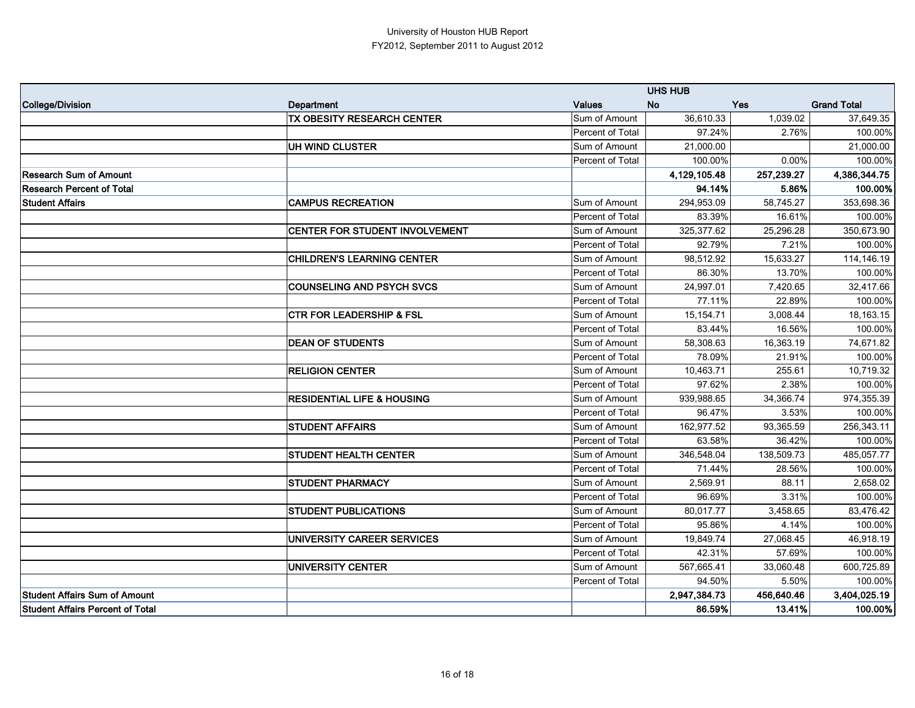|                                         |                                       |                  | <b>UHS HUB</b> |            |                    |
|-----------------------------------------|---------------------------------------|------------------|----------------|------------|--------------------|
| College/Division                        | Department                            | <b>Values</b>    | <b>No</b>      | Yes        | <b>Grand Total</b> |
|                                         | <b>TX OBESITY RESEARCH CENTER</b>     | Sum of Amount    | 36,610.33      | 1,039.02   | 37,649.35          |
|                                         |                                       | Percent of Total | 97.24%         | 2.76%      | 100.00%            |
|                                         | UH WIND CLUSTER                       | Sum of Amount    | 21,000.00      |            | 21,000.00          |
|                                         |                                       | Percent of Total | 100.00%        | 0.00%      | 100.00%            |
| <b>Research Sum of Amount</b>           |                                       |                  | 4,129,105.48   | 257,239.27 | 4,386,344.75       |
| <b>Research Percent of Total</b>        |                                       |                  | 94.14%         | 5.86%      | 100.00%            |
| <b>Student Affairs</b>                  | <b>CAMPUS RECREATION</b>              | Sum of Amount    | 294,953.09     | 58,745.27  | 353,698.36         |
|                                         |                                       | Percent of Total | 83.39%         | 16.61%     | 100.00%            |
|                                         | CENTER FOR STUDENT INVOLVEMENT        | Sum of Amount    | 325,377.62     | 25,296.28  | 350,673.90         |
|                                         |                                       | Percent of Total | 92.79%         | 7.21%      | 100.00%            |
|                                         | <b>CHILDREN'S LEARNING CENTER</b>     | Sum of Amount    | 98,512.92      | 15,633.27  | 114,146.19         |
|                                         |                                       | Percent of Total | 86.30%         | 13.70%     | 100.00%            |
|                                         | <b>COUNSELING AND PSYCH SVCS</b>      | Sum of Amount    | 24,997.01      | 7,420.65   | 32,417.66          |
|                                         |                                       | Percent of Total | 77.11%         | 22.89%     | 100.00%            |
|                                         | <b>CTR FOR LEADERSHIP &amp; FSL</b>   | Sum of Amount    | 15,154.71      | 3,008.44   | 18,163.15          |
|                                         |                                       | Percent of Total | 83.44%         | 16.56%     | 100.00%            |
|                                         | <b>DEAN OF STUDENTS</b>               | Sum of Amount    | 58,308.63      | 16,363.19  | 74,671.82          |
|                                         |                                       | Percent of Total | 78.09%         | 21.91%     | 100.00%            |
|                                         | <b>RELIGION CENTER</b>                | Sum of Amount    | 10,463.71      | 255.61     | 10,719.32          |
|                                         |                                       | Percent of Total | 97.62%         | 2.38%      | 100.00%            |
|                                         | <b>RESIDENTIAL LIFE &amp; HOUSING</b> | Sum of Amount    | 939,988.65     | 34,366.74  | 974,355.39         |
|                                         |                                       | Percent of Total | 96.47%         | 3.53%      | 100.00%            |
|                                         | <b>STUDENT AFFAIRS</b>                | Sum of Amount    | 162,977.52     | 93,365.59  | 256,343.11         |
|                                         |                                       | Percent of Total | 63.58%         | 36.42%     | 100.00%            |
|                                         | <b>STUDENT HEALTH CENTER</b>          | Sum of Amount    | 346,548.04     | 138,509.73 | 485,057.77         |
|                                         |                                       | Percent of Total | 71.44%         | 28.56%     | 100.00%            |
|                                         | <b>STUDENT PHARMACY</b>               | Sum of Amount    | 2,569.91       | 88.11      | 2,658.02           |
|                                         |                                       | Percent of Total | 96.69%         | 3.31%      | 100.00%            |
|                                         | <b>STUDENT PUBLICATIONS</b>           | Sum of Amount    | 80,017.77      | 3,458.65   | 83,476.42          |
|                                         |                                       | Percent of Total | 95.86%         | 4.14%      | 100.00%            |
|                                         | UNIVERSITY CAREER SERVICES            | Sum of Amount    | 19,849.74      | 27,068.45  | 46,918.19          |
|                                         |                                       | Percent of Total | 42.31%         | 57.69%     | 100.00%            |
|                                         | UNIVERSITY CENTER                     | Sum of Amount    | 567,665.41     | 33,060.48  | 600,725.89         |
|                                         |                                       | Percent of Total | 94.50%         | 5.50%      | 100.00%            |
| <b>Student Affairs Sum of Amount</b>    |                                       |                  | 2,947,384.73   | 456,640.46 | 3,404,025.19       |
| <b>Student Affairs Percent of Total</b> |                                       |                  | 86.59%         | $13.41\%$  | 100.00%            |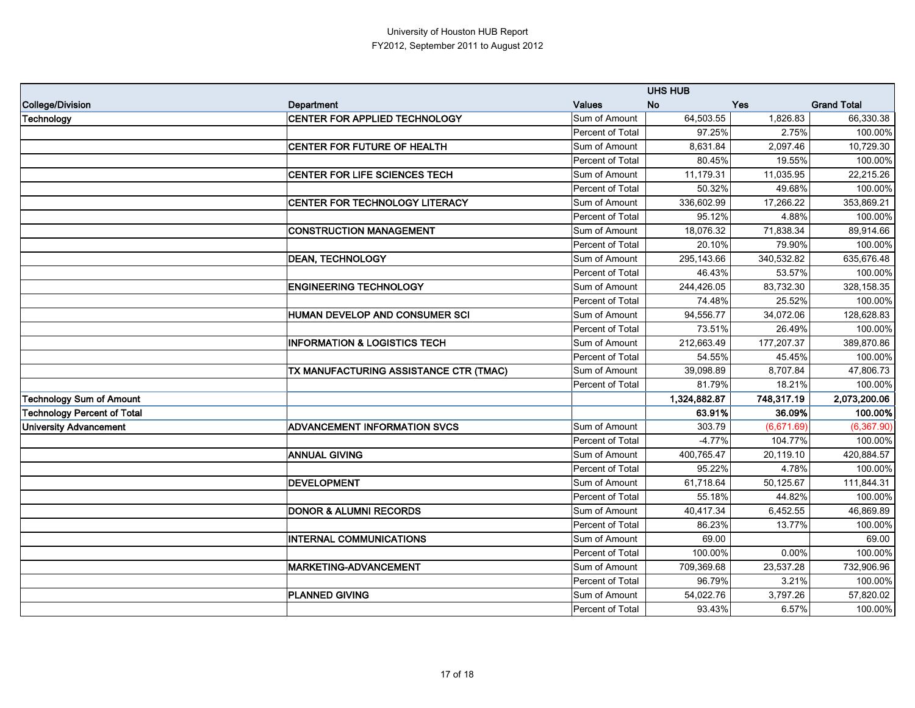|                                    |                                         |                  | <b>UHS HUB</b> |            |                    |
|------------------------------------|-----------------------------------------|------------------|----------------|------------|--------------------|
| College/Division                   | <b>Department</b>                       | <b>Values</b>    | <b>No</b>      | Yes        | <b>Grand Total</b> |
| Technology                         | <b>CENTER FOR APPLIED TECHNOLOGY</b>    | Sum of Amount    | 64,503.55      | 1,826.83   | 66,330.38          |
|                                    |                                         | Percent of Total | 97.25%         | 2.75%      | 100.00%            |
|                                    | <b>CENTER FOR FUTURE OF HEALTH</b>      | Sum of Amount    | 8,631.84       | 2,097.46   | 10,729.30          |
|                                    |                                         | Percent of Total | 80.45%         | 19.55%     | 100.00%            |
|                                    | <b>CENTER FOR LIFE SCIENCES TECH</b>    | Sum of Amount    | 11,179.31      | 11,035.95  | 22,215.26          |
|                                    |                                         | Percent of Total | 50.32%         | 49.68%     | 100.00%            |
|                                    | CENTER FOR TECHNOLOGY LITERACY          | Sum of Amount    | 336,602.99     | 17,266.22  | 353,869.21         |
|                                    |                                         | Percent of Total | 95.12%         | 4.88%      | 100.00%            |
|                                    | <b>CONSTRUCTION MANAGEMENT</b>          | Sum of Amount    | 18,076.32      | 71,838.34  | 89,914.66          |
|                                    |                                         | Percent of Total | 20.10%         | 79.90%     | 100.00%            |
|                                    | <b>DEAN, TECHNOLOGY</b>                 | Sum of Amount    | 295,143.66     | 340,532.82 | 635,676.48         |
|                                    |                                         | Percent of Total | 46.43%         | 53.57%     | 100.00%            |
|                                    | <b>ENGINEERING TECHNOLOGY</b>           | Sum of Amount    | 244,426.05     | 83,732.30  | 328,158.35         |
|                                    |                                         | Percent of Total | 74.48%         | 25.52%     | 100.00%            |
|                                    | HUMAN DEVELOP AND CONSUMER SCI          | Sum of Amount    | 94,556.77      | 34,072.06  | 128,628.83         |
|                                    |                                         | Percent of Total | 73.51%         | 26.49%     | 100.00%            |
|                                    | <b>INFORMATION &amp; LOGISTICS TECH</b> | Sum of Amount    | 212,663.49     | 177,207.37 | 389,870.86         |
|                                    |                                         | Percent of Total | 54.55%         | 45.45%     | 100.00%            |
|                                    | TX MANUFACTURING ASSISTANCE CTR (TMAC)  | Sum of Amount    | 39,098.89      | 8,707.84   | 47,806.73          |
|                                    |                                         | Percent of Total | 81.79%         | 18.21%     | 100.00%            |
| <b>Technology Sum of Amount</b>    |                                         |                  | 1,324,882.87   | 748,317.19 | 2,073,200.06       |
| <b>Technology Percent of Total</b> |                                         |                  | 63.91%         | 36.09%     | 100.00%            |
| <b>University Advancement</b>      | <b>ADVANCEMENT INFORMATION SVCS</b>     | Sum of Amount    | 303.79         | (6,671.69) | (6, 367.90)        |
|                                    |                                         | Percent of Total | $-4.77%$       | 104.77%    | 100.00%            |
|                                    | <b>ANNUAL GIVING</b>                    | Sum of Amount    | 400,765.47     | 20,119.10  | 420,884.57         |
|                                    |                                         | Percent of Total | 95.22%         | 4.78%      | 100.00%            |
|                                    | <b>DEVELOPMENT</b>                      | Sum of Amount    | 61,718.64      | 50,125.67  | 111,844.31         |
|                                    |                                         | Percent of Total | 55.18%         | 44.82%     | 100.00%            |
|                                    | <b>DONOR &amp; ALUMNI RECORDS</b>       | Sum of Amount    | 40,417.34      | 6,452.55   | 46,869.89          |
|                                    |                                         | Percent of Total | 86.23%         | 13.77%     | 100.00%            |
|                                    | <b>INTERNAL COMMUNICATIONS</b>          | Sum of Amount    | 69.00          |            | 69.00              |
|                                    |                                         | Percent of Total | 100.00%        | 0.00%      | 100.00%            |
|                                    | MARKETING-ADVANCEMENT                   | Sum of Amount    | 709,369.68     | 23,537.28  | 732,906.96         |
|                                    |                                         | Percent of Total | 96.79%         | 3.21%      | 100.00%            |
|                                    | <b>PLANNED GIVING</b>                   | Sum of Amount    | 54,022.76      | 3,797.26   | 57,820.02          |
|                                    |                                         | Percent of Total | 93.43%         | 6.57%      | 100.00%            |